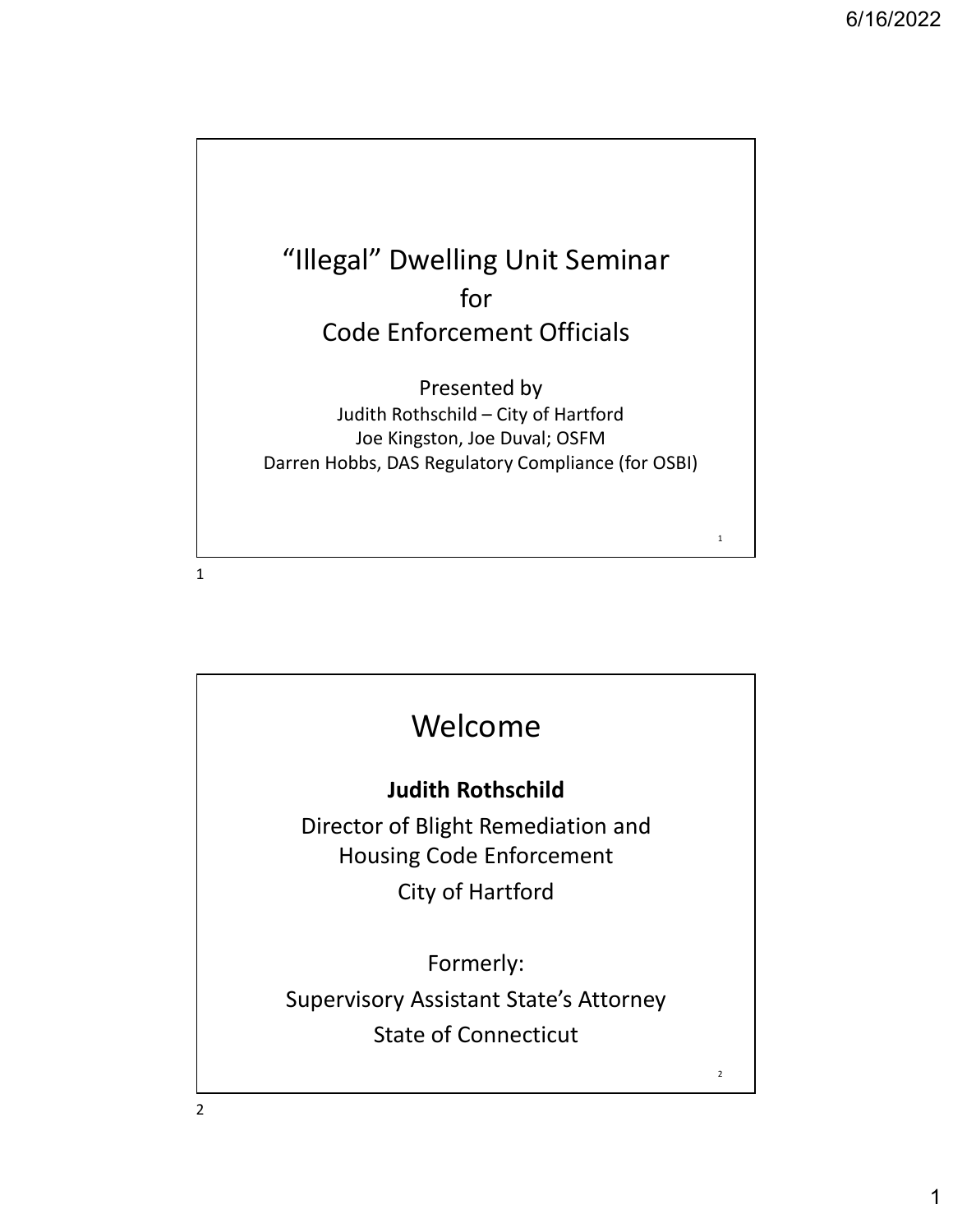

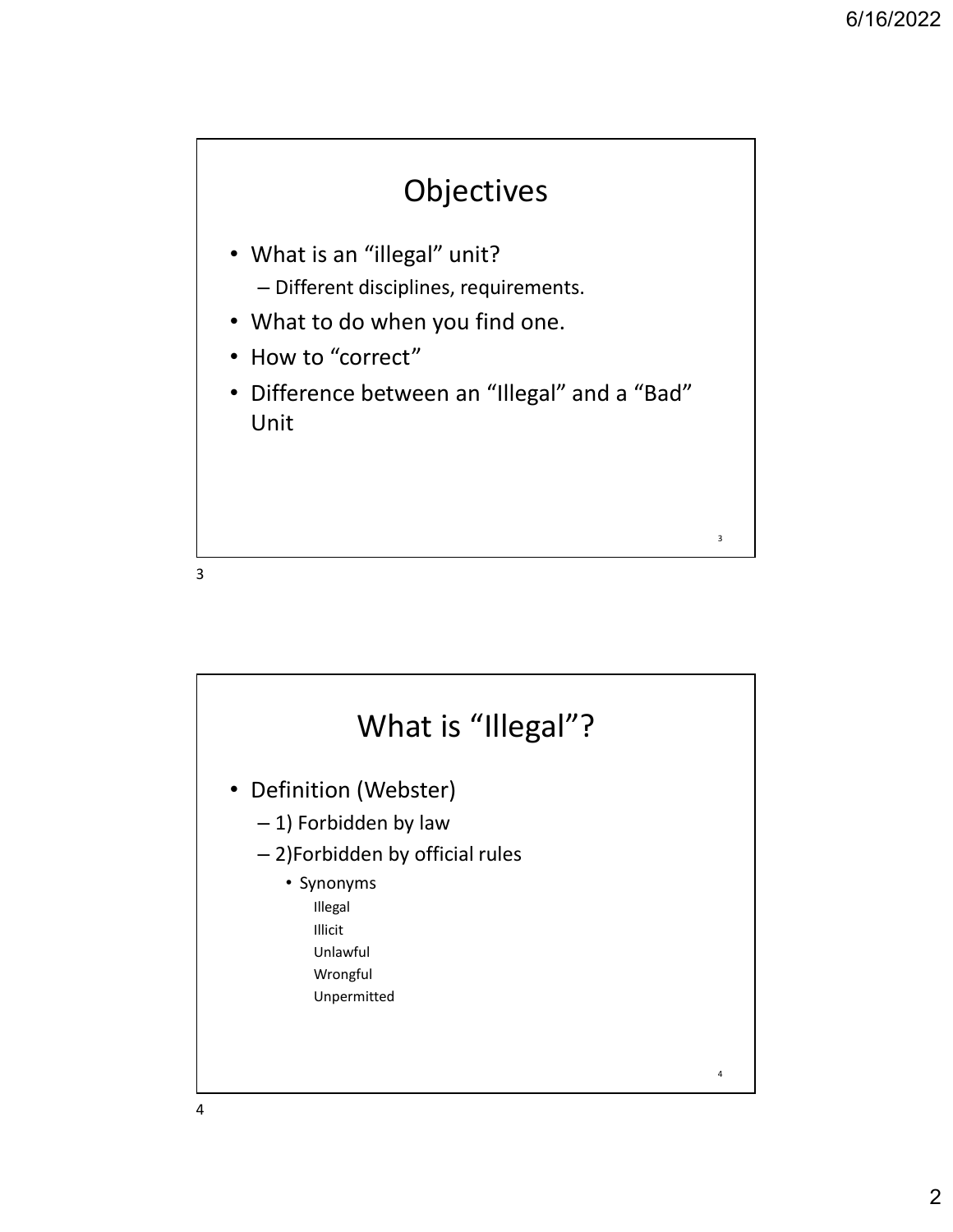$3 \qquad \qquad$ 



- What is an "illegal" unit? – Different disciplines, requirements.
- What to do when you find one.
- How to "correct"
- Difference between an "Illegal" and a "Bad" Unit

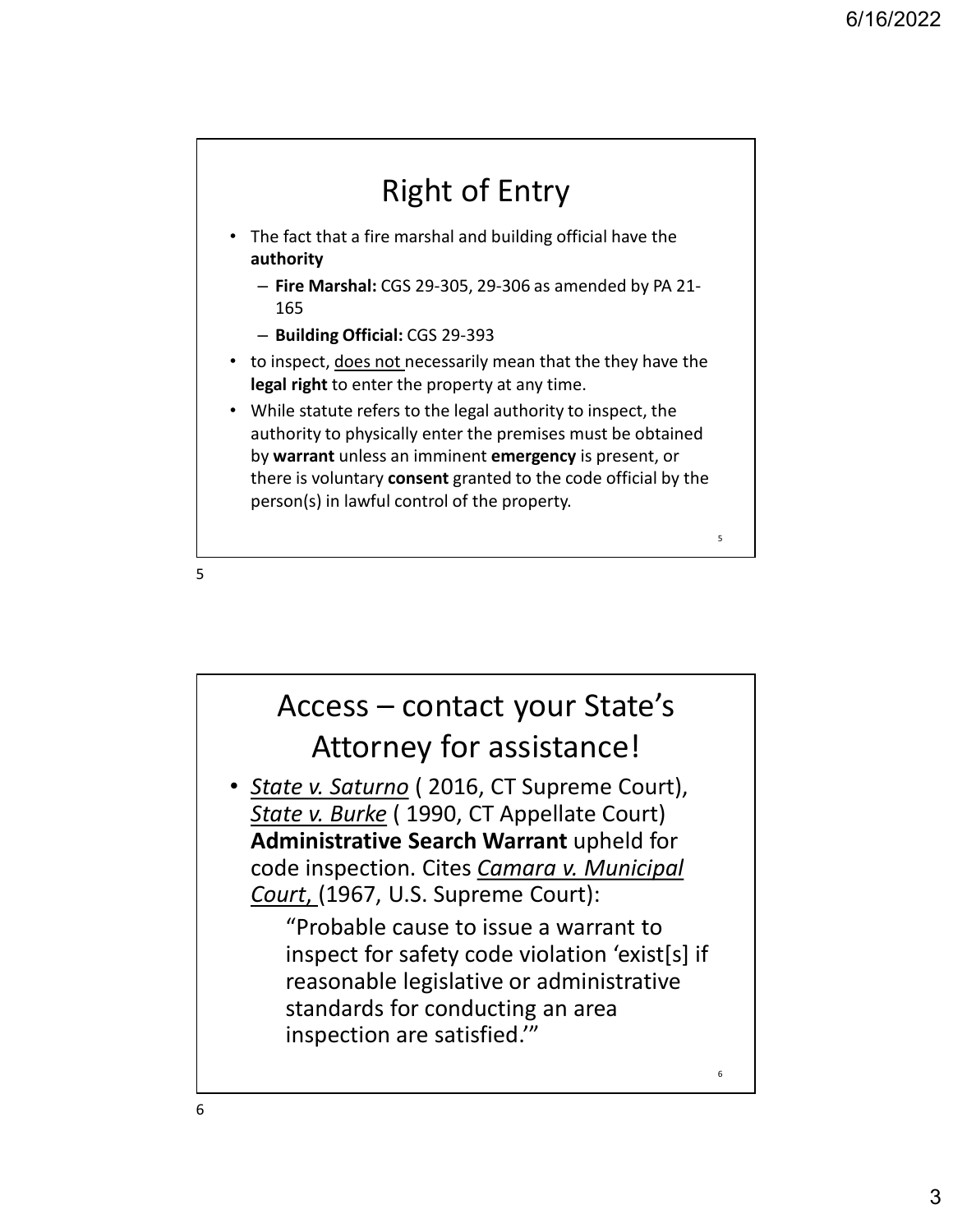# Right of Entry

- The fact that a fire marshal and building official have the authority
	- Fire Marshal: CGS 29-305, 29-306 as amended by PA 21- 165
	- Building Official: CGS 29-393
- to inspect, does not necessarily mean that the they have the legal right to enter the property at any time.
- While statute refers to the legal authority to inspect, the authority to physically enter the premises must be obtained by warrant unless an imminent emergency is present, or there is voluntary consent granted to the code official by the

 $5<sub>5</sub>$ 

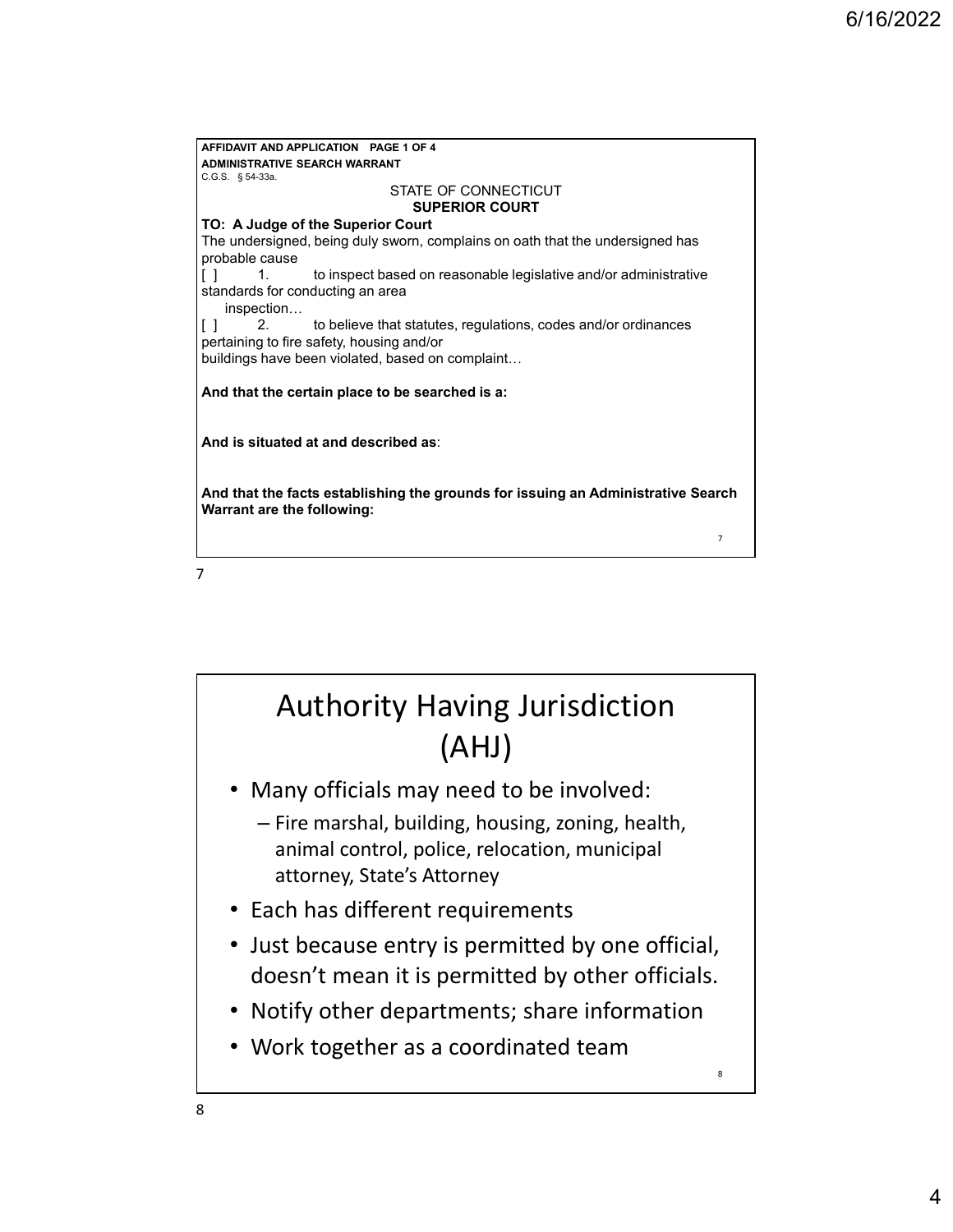**AFFIDAVIT AND APPLICATION PAGE 1 OF 4**<br> **ADMINISTRATIVE SEARCH WARRANT**<br>
C.G.S. §54-33a.<br>
STATE OF CONNECTICUT<br>
TO: A Judge of the Superior Court<br>
The undersigned, being duly sworn, complains on oath that the undersigned **ADMINISTRATIVE SEARCH WARRANT**<br>C.G.S. §54-33a. AFFIDAVIT AND APPLICATION<br>
ADMINISTRATIVE SEARCH WARRANT<br>
C.G.S. § 54-33a.<br>
STATE OF CONNECTICUT<br>
SUPERIOR COURT<br>
TO: A Judge of the Superior Court<br>
The undersigned, being duly sworn, complains on oath that the undersigned STATE OF CONNECTICUT SUPERIOR COURT TO: A Judge of the Superior Court The undersigned, being duly sworn, complains on oath that the undersigned has probable cause AFFIDAVIT AND APPLICATION PAGE 1 OF 4<br>
ADMINISTRATIVE SEARCH WARRANT<br>
STATE OF CONNECTICUT<br>
SUPERIOR COURT<br>
TO: A Judge of the Superior Court<br>
SUPERIOR COURT<br>
ITO: A Judge of the Superior Court<br>
supersionable cause<br>
probab standards for conducting an area inspection... AFIDAVIT AND APPLICATION PAGE 1 OF 4<br>
ADMINISTRATIVE SEARCH WARRANT<br>
CIGS § 5<sup>4,33a</sup>.<br>
TO: A Judge of the Superior Court<br>
TO: A Judge of the Superior Court<br>
The undersigned height was very complains on oath that the unders pertaining to fire safety, housing and/or buildings have been violated, based on complaint... And that the certain place to be searched is a: And is situated at and described as: And that the facts establishing the grounds for issuing an Administrative Search Warrant are the following:  $7 \quad \Box$ 7

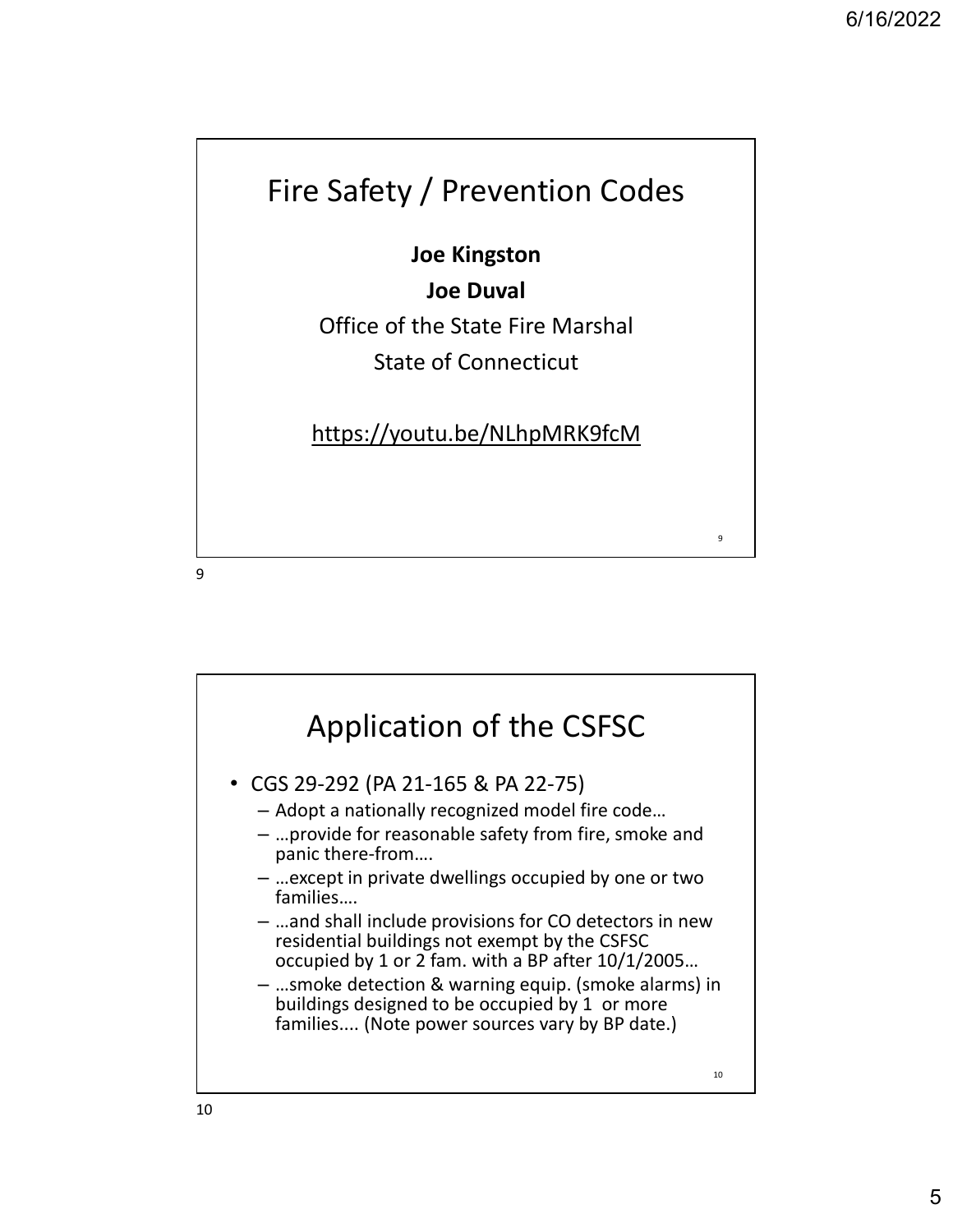$9 \qquad \qquad$ 

### Fire Safety / Prevention Codes

Joe Kingston

Joe Duval

Office of the State Fire Marshal

State of Connecticut

https://youtu.be/NLhpMRK9fcM

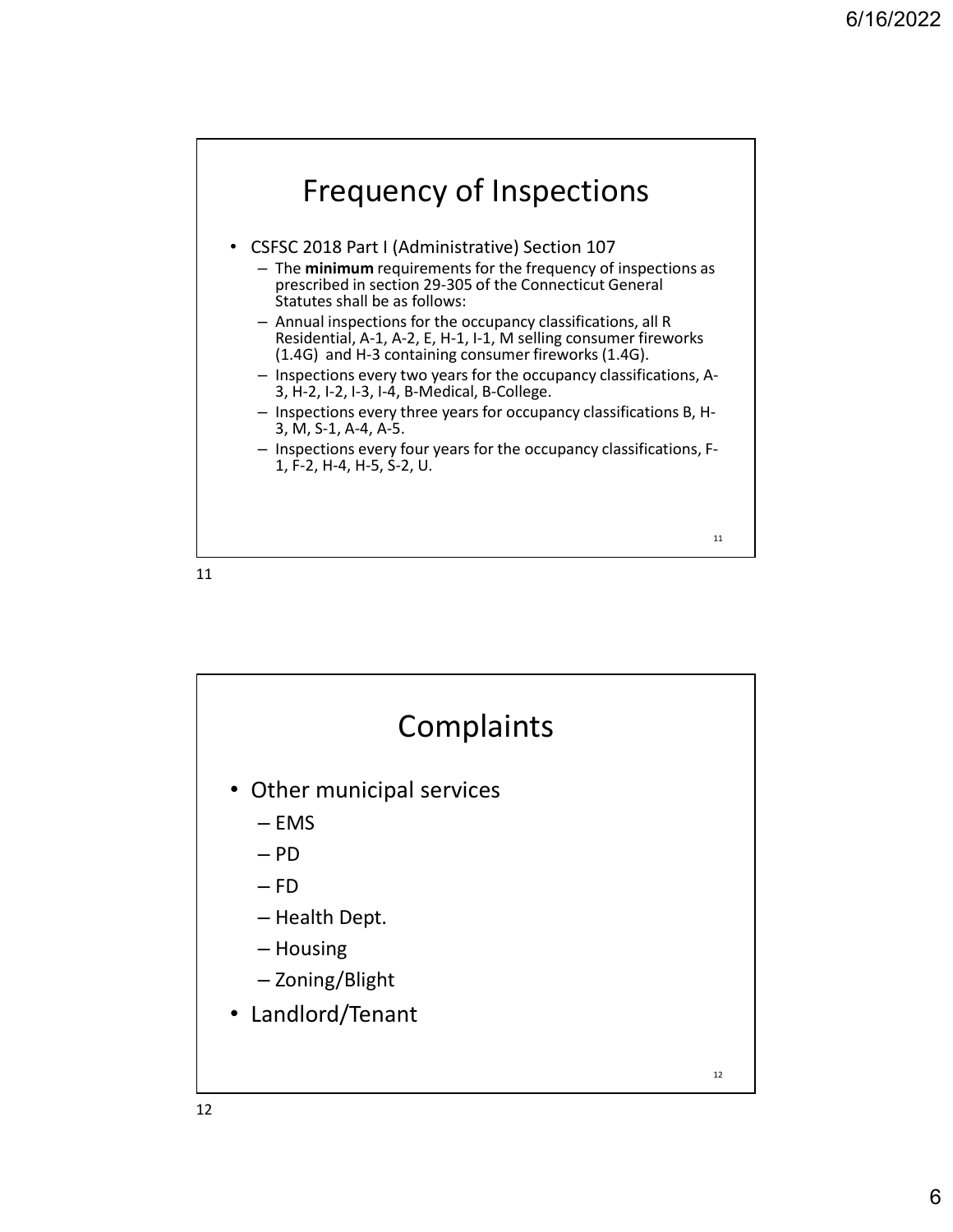

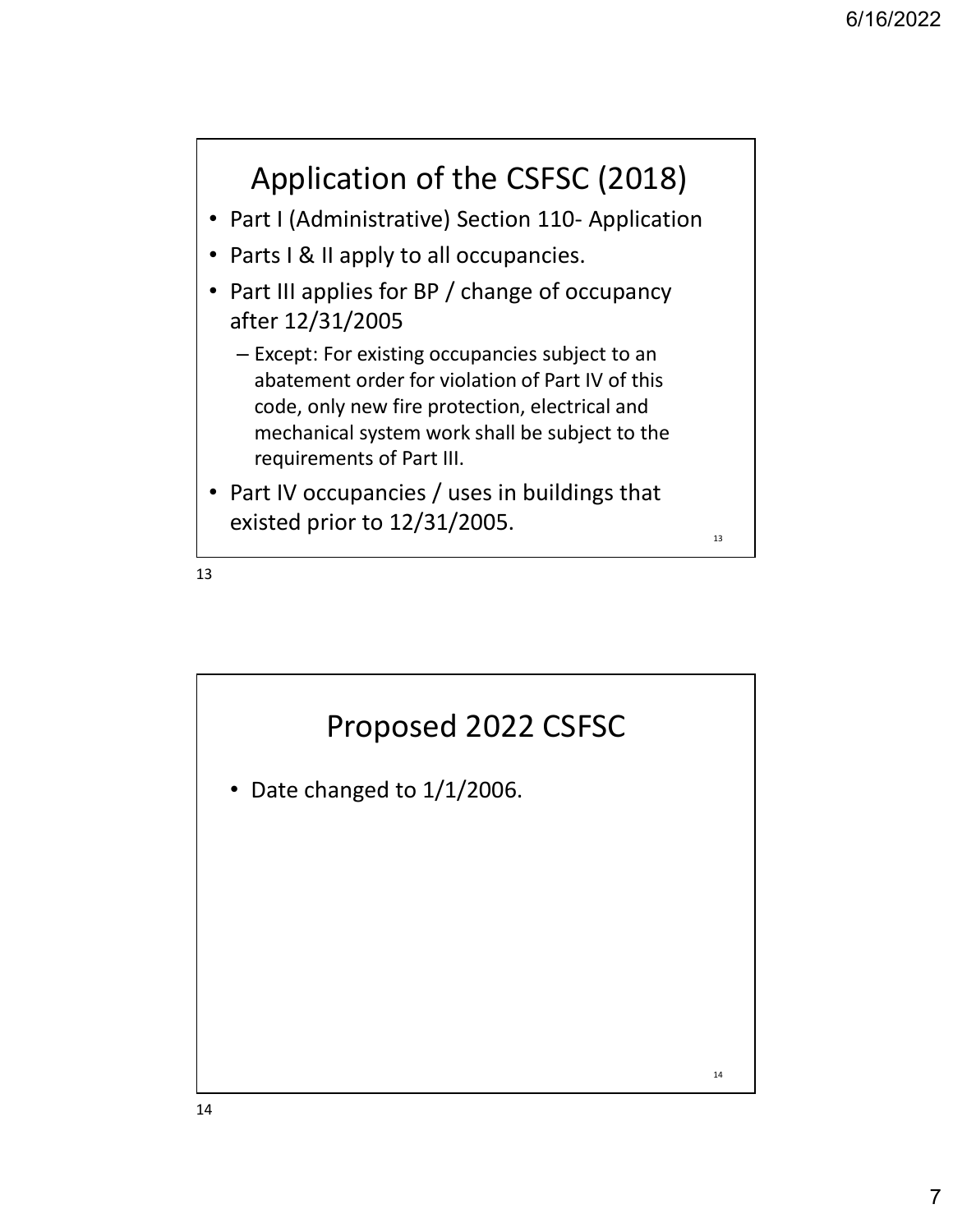

- 
- Parts I & II apply to all occupancies.
- <sup>6/16/2022</sup><br> **Application of the CSFSC (2018)**<br>
 Part I (Administrative) Section 110- Application<br>
 Parts I & II apply to all occupancies.<br>
 Part III applies for BP / change of occupancy<br>
after 12/31/2005 • Part III applies for BP / change of occupancy after 12/31/2005
	- Except: For existing occupancies subject to an abatement order for violation of Part IV of this code, only new fire protection, electrical and mechanical system work shall be subject to the requirements of Part III.
- Part IV occupancies / uses in buildings that existed prior to  $12/31/2005$ .



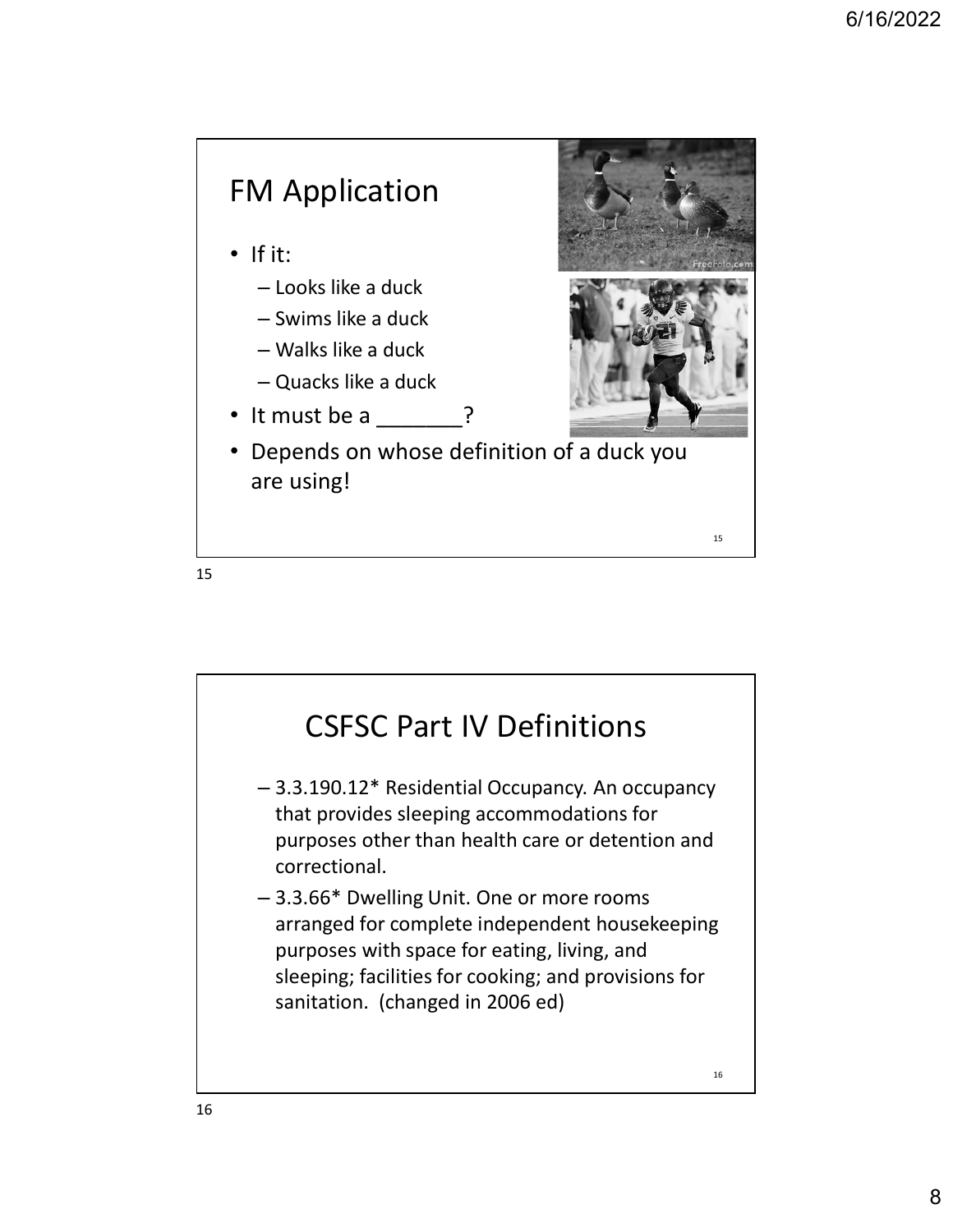



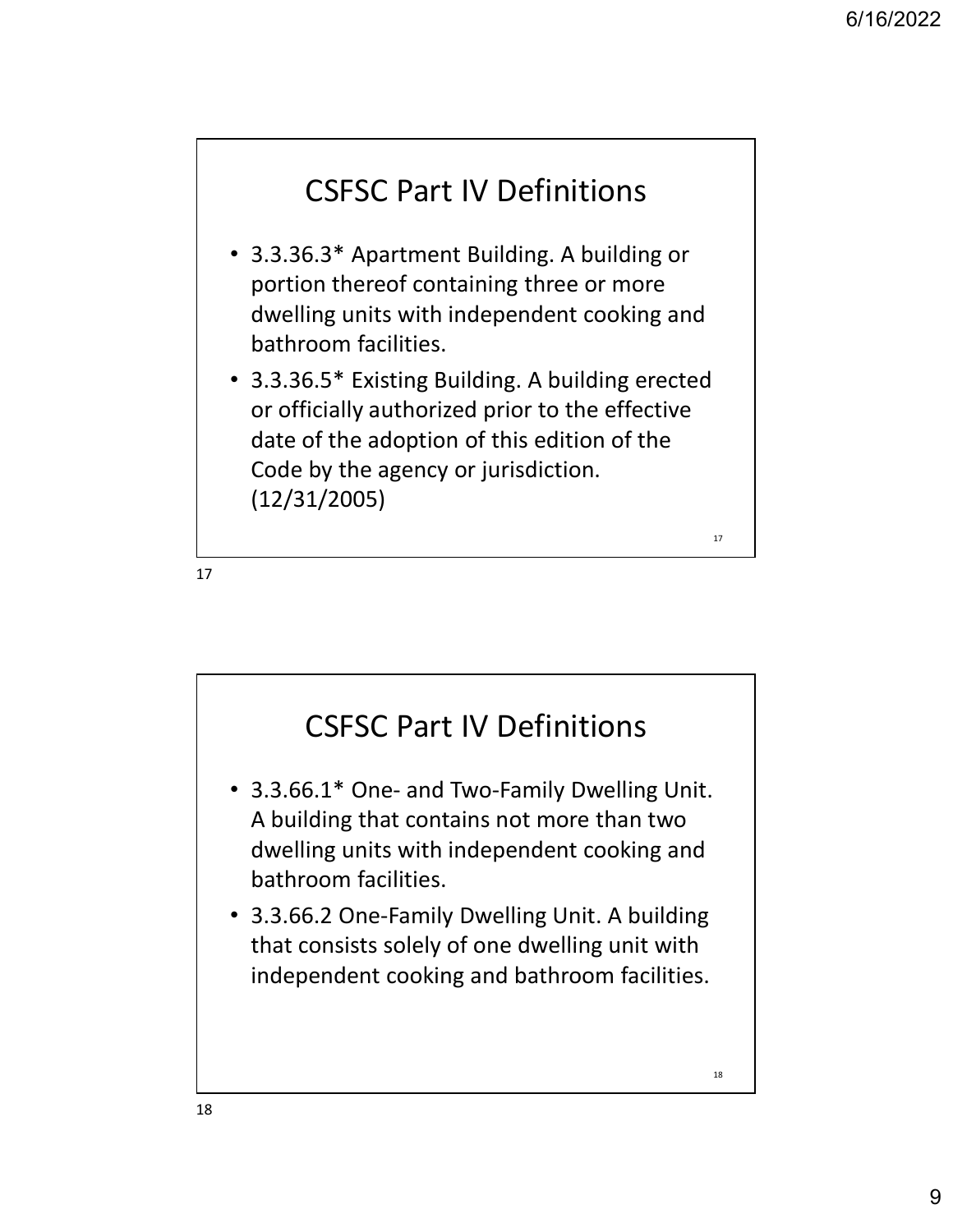## CSFSC Part IV Definitions

- 3.3.36.3\* Apartment Building. A building or portion thereof containing three or more dwelling units with independent cooking and bathroom facilities.
- 3.3.36.5\* Existing Building. A building erected or officially authorized prior to the effective date of the adoption of this edition of the Code by the agency or jurisdiction. (12/31/2005)

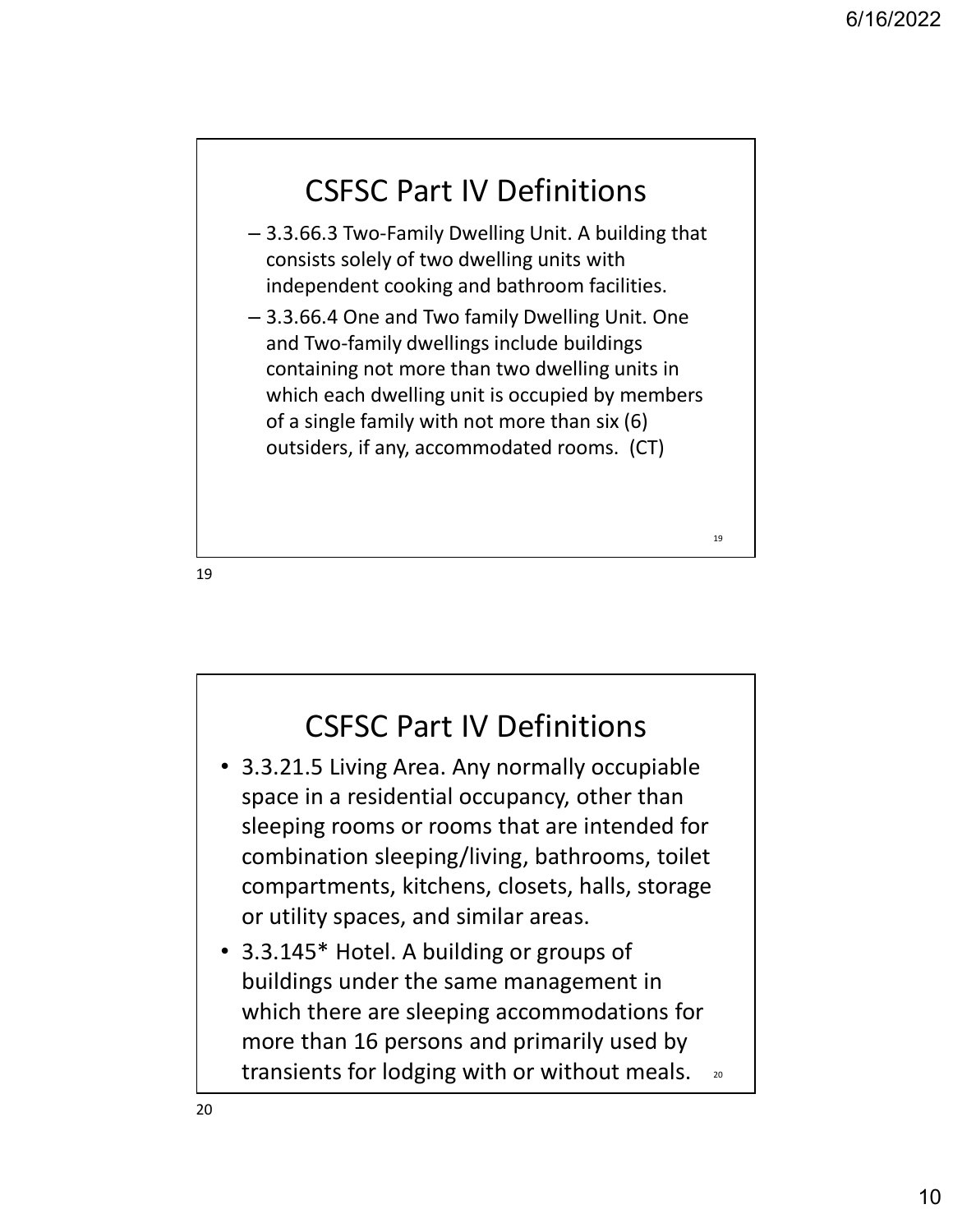## CSFSC Part IV Definitions

- 3.3.66.3 Two-Family Dwelling Unit. A building that consists solely of two dwelling units with independent cooking and bathroom facilities.
- 3.3.66.4 One and Two family Dwelling Unit. One and Two-family dwellings include buildings containing not more than two dwelling units in which each dwelling unit is occupied by members of a single family with not more than six (6) outsiders, if any, accommodated rooms. (CT)

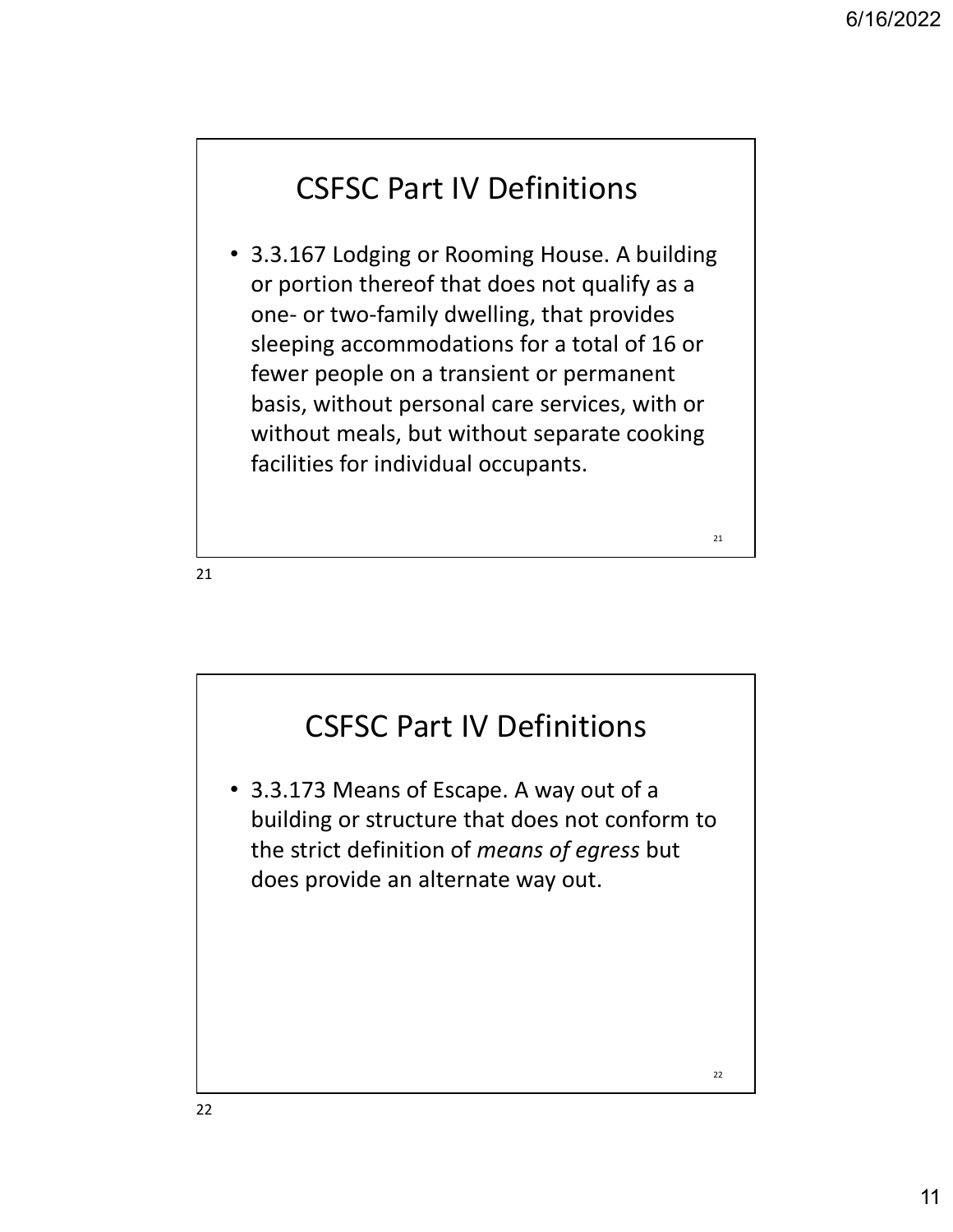21 a and the contract of the contract of the contract of the contract of the contract of the contract of the contract of the contract of the contract of the contract of the contract of the contract of the contract of the c

## CSFSC Part IV Definitions

• 3.3.167 Lodging or Rooming House. A building or portion thereof that does not qualify as a **CSFSC Part IV Definitions**<br>
3.3.167 Lodging or Rooming House. A building<br>
or portion thereof that does not qualify as a<br>
one- or two-family dwelling, that provides<br>
sleeping accommodations for a total of 16 or<br>
fewer peop sleeping accommodations for a total of 16 or fewer people on a transient or permanent basis, without personal care services, with or without meals, but without separate cooking facilities for individual occupants.

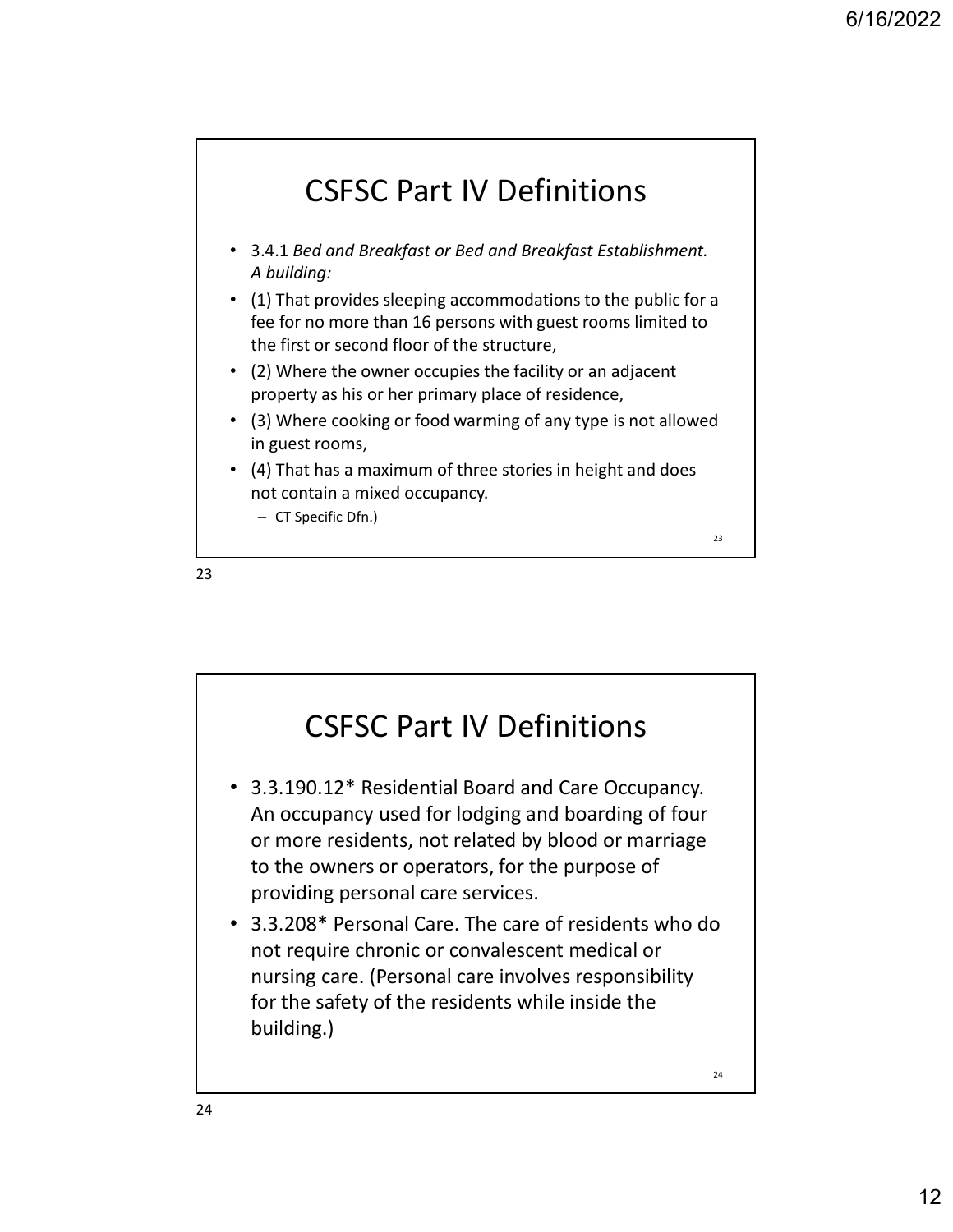

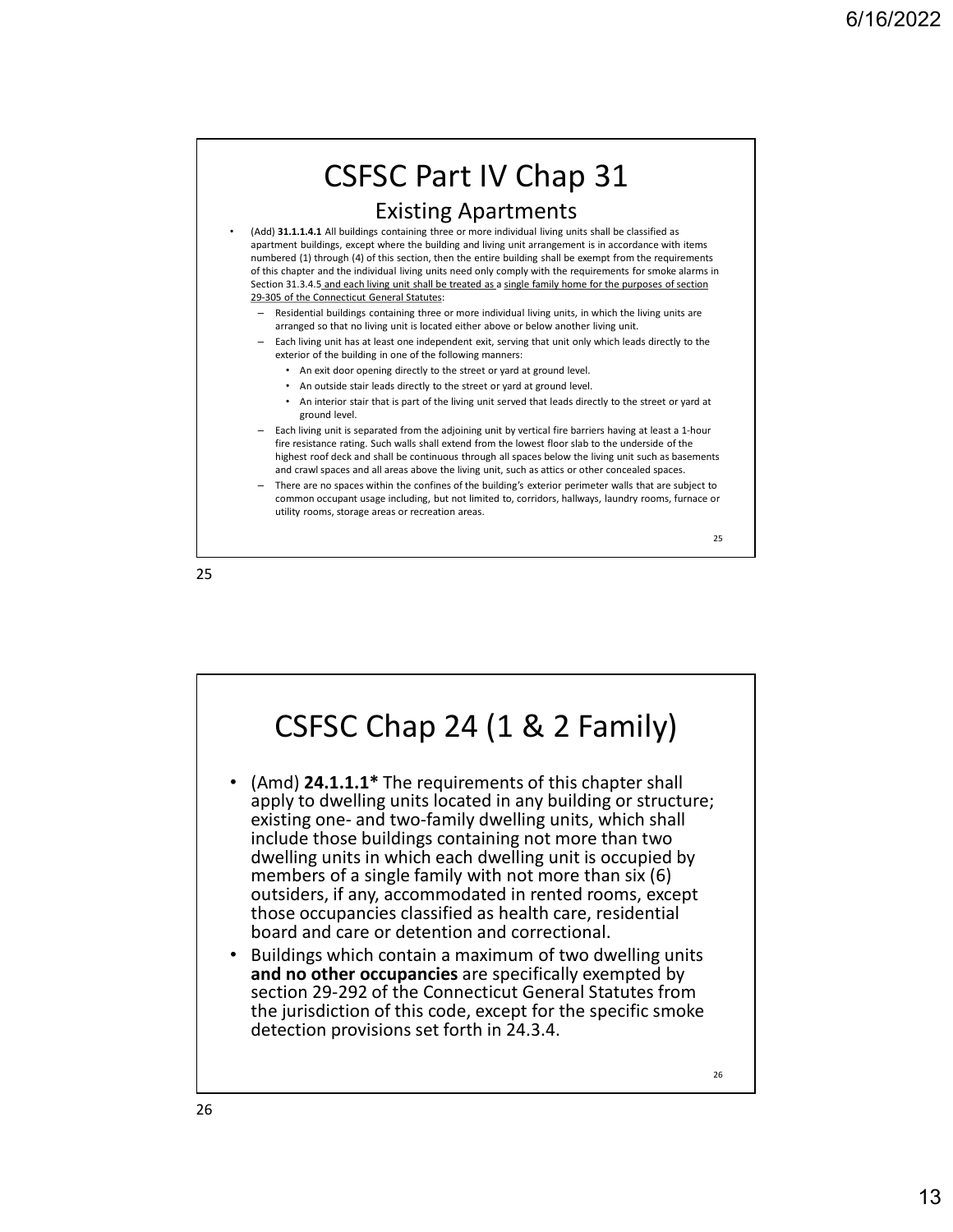

25 and 25 and 25 and 25 and 25 and 25 and 25 and 26 and 26 and 26 and 26 and 26 and 26 and 26 and 26 and 26 an

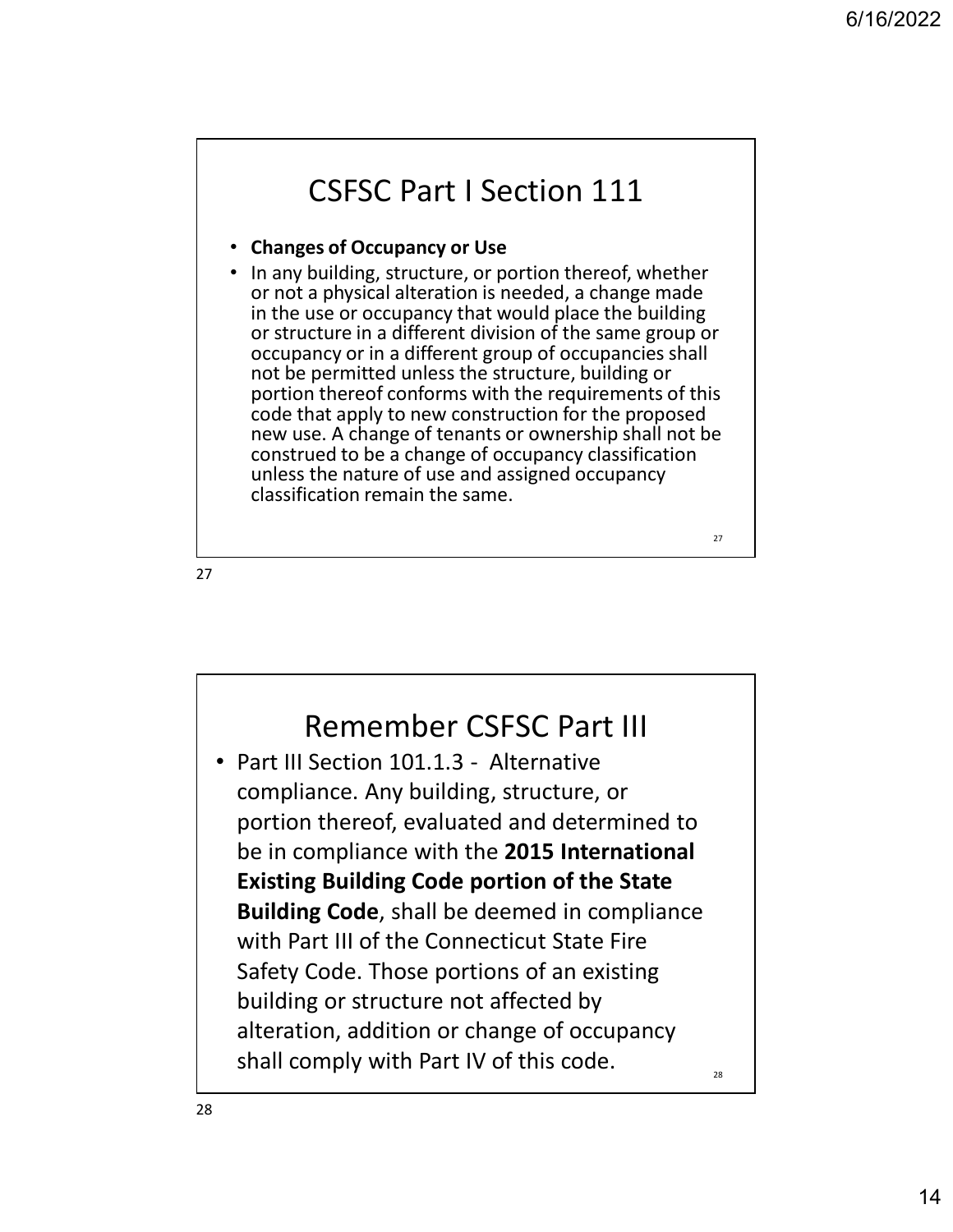27 and the contract of the contract of the contract of the contract of the contract of the contract of the contract of the contract of the contract of the contract of the contract of the contract of the contract of the con

### CSFSC Part I Section 111

#### • Changes of Occupancy or Use

• In any building, structure, or portion thereof, whether or not a physical alteration is needed, a change made in the use or occupancy that would place the building or structure in a different division of the same group or occupancy or in a different group of occupancies shall not be permitted unless the structure, building or portion thereof conforms with the requirements of this code that apply to new construction for the proposed new use. A change of tenants or ownership shall not be construed to be a change of occupancy classification unless the nature of use and assigned occupancy classification remain the same.

27 and 27 and 27 and 27 and 27 and 27 and 27 and 27 and 28 and 28 and 28 and 28 and 28 and 28 and 28 and 28 an

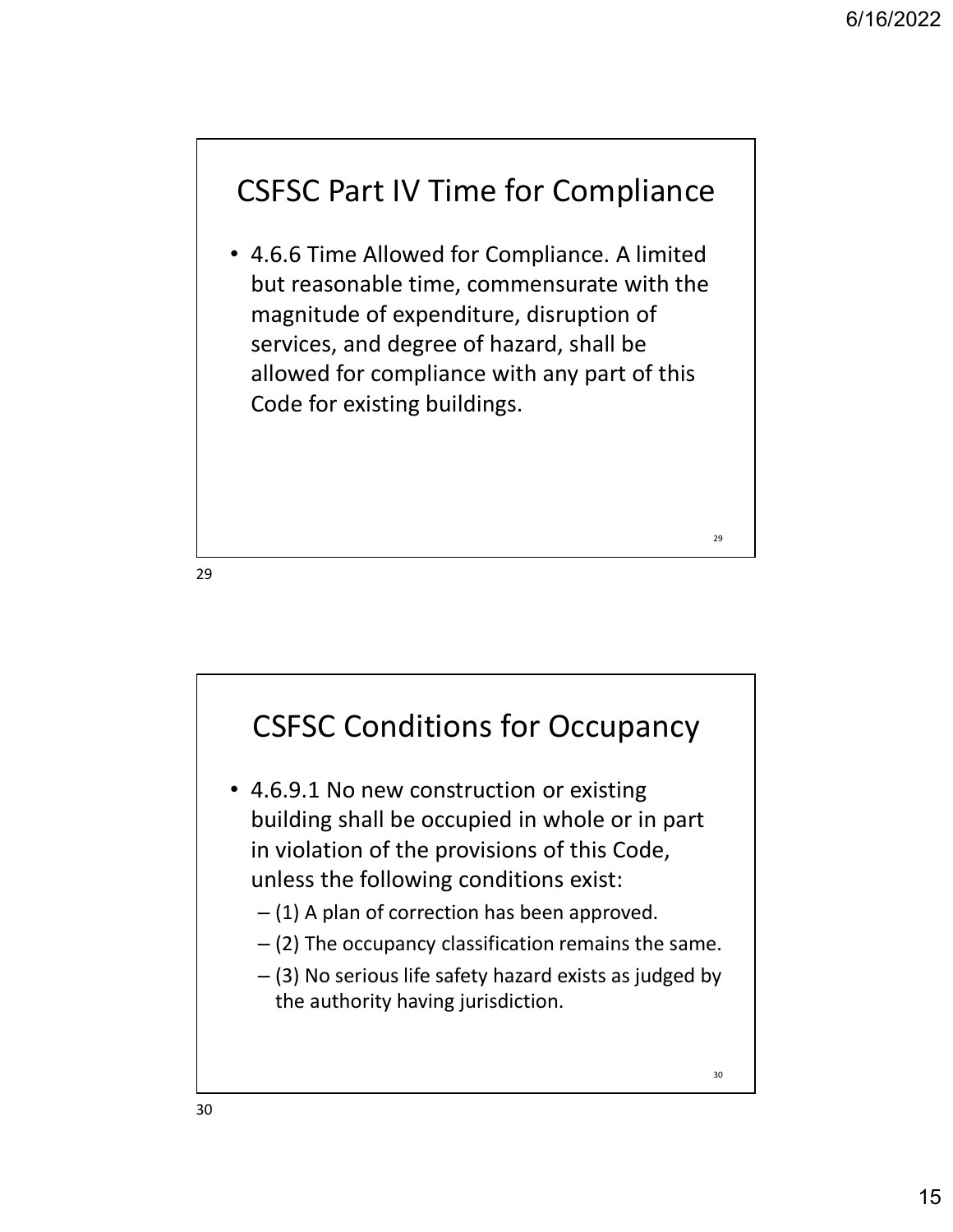29 and the contract of the contract of the contract of the contract of the contract of the contract of the contract of the contract of the contract of the contract of the contract of the contract of the contract of the con

## CSFSC Part IV Time for Compliance

• 4.6.6 Time Allowed for Compliance. A limited but reasonable time, commensurate with the magnitude of expenditure, disruption of services, and degree of hazard, shall be allowed for compliance with any part of this Code for existing buildings.

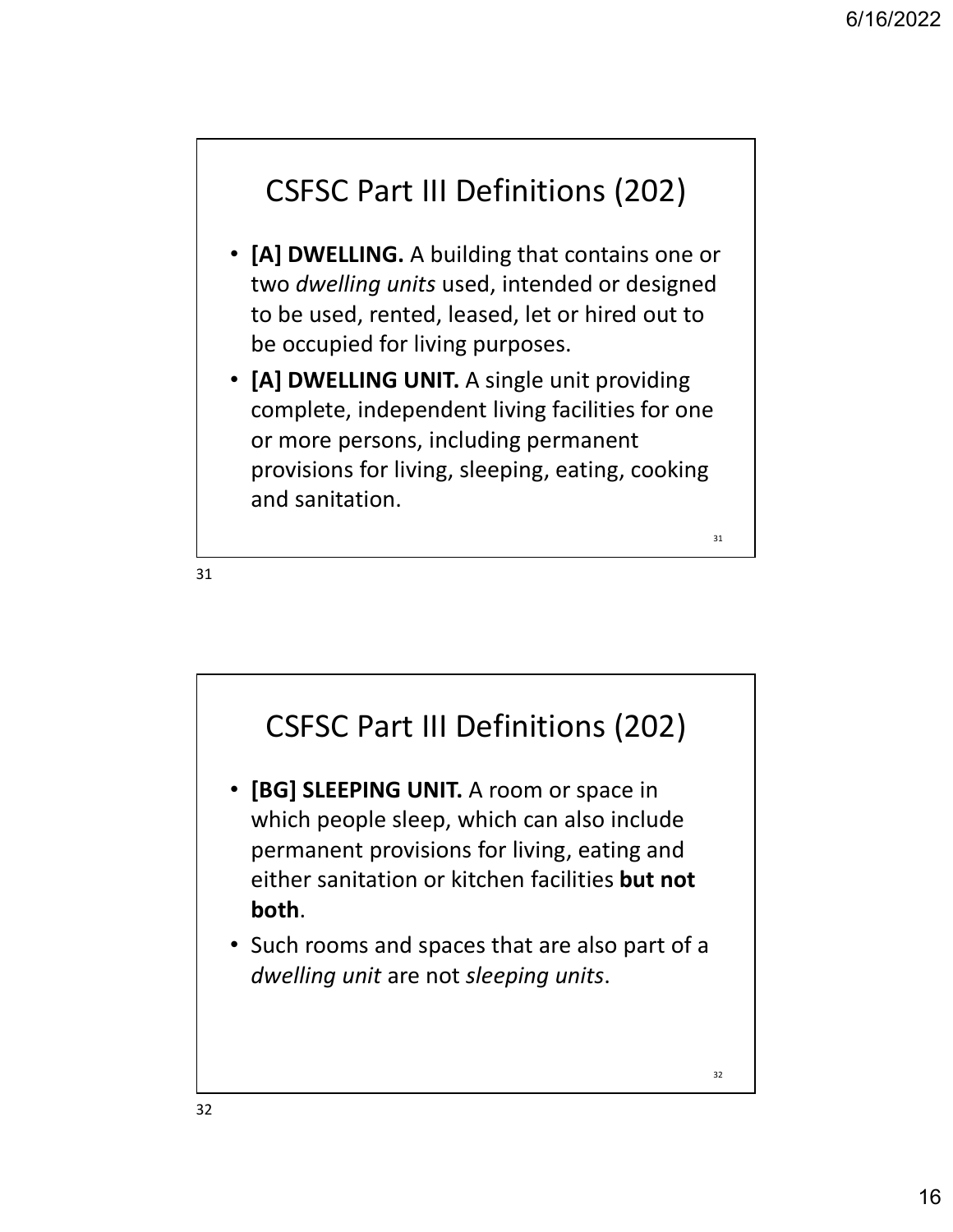$31$  and  $\overline{1}$  and  $\overline{1}$  and  $\overline{1}$  and  $\overline{1}$  and  $\overline{1}$  and  $\overline{1}$  and  $\overline{1}$  and  $\overline{1}$  and  $\overline{1}$  and  $\overline{1}$  and  $\overline{1}$  and  $\overline{1}$  and  $\overline{1}$  and  $\overline{1}$  and  $\overline{1}$  and  $\overline{1}$  and  $\overline$ 

## CSFSC Part III Definitions (202)

- [A] DWELLING. A building that contains one or two dwelling units used, intended or designed to be used, rented, leased, let or hired out to be occupied for living purposes.
- [A] DWELLING UNIT. A single unit providing complete, independent living facilities for one or more persons, including permanent provisions for living, sleeping, eating, cooking and sanitation.

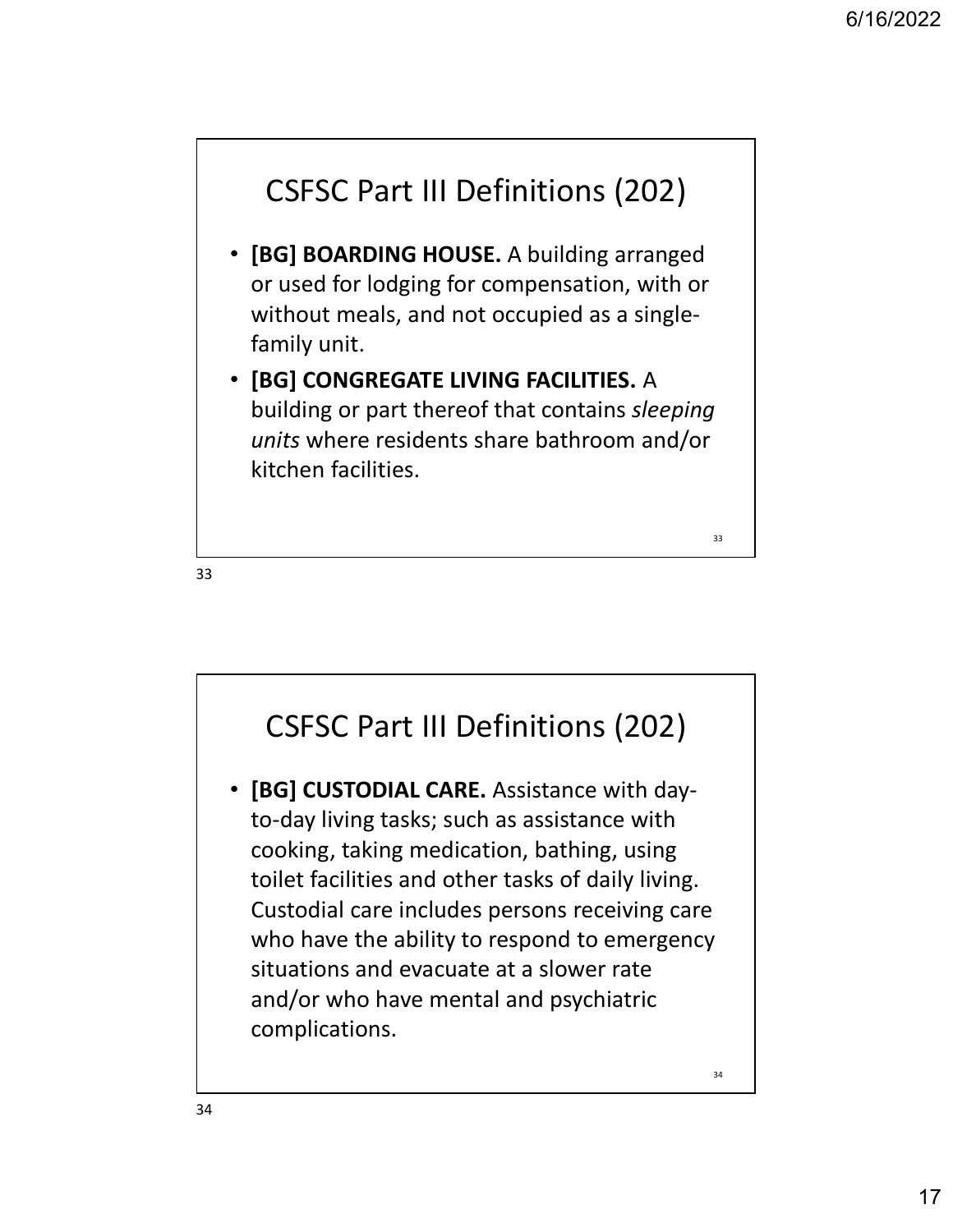$\overline{33}$  and  $\overline{1}$  and  $\overline{2}$  and  $\overline{3}$  and  $\overline{3}$  and  $\overline{3}$  and  $\overline{3}$  and  $\overline{3}$  and  $\overline{3}$  and  $\overline{3}$  and  $\overline{3}$  and  $\overline{3}$  and  $\overline{3}$  and  $\overline{3}$  and  $\overline{3}$  and  $\overline{3}$  and  $\overline{3}$  and

## CSFSC Part III Definitions (202)

- [BG] BOARDING HOUSE. A building arranged or used for lodging for compensation, with or without meals, and not occupied as a singlefamily unit.
- [BG] CONGREGATE LIVING FACILITIES. A building or part thereof that contains sleeping units where residents share bathroom and/or kitchen facilities.

33

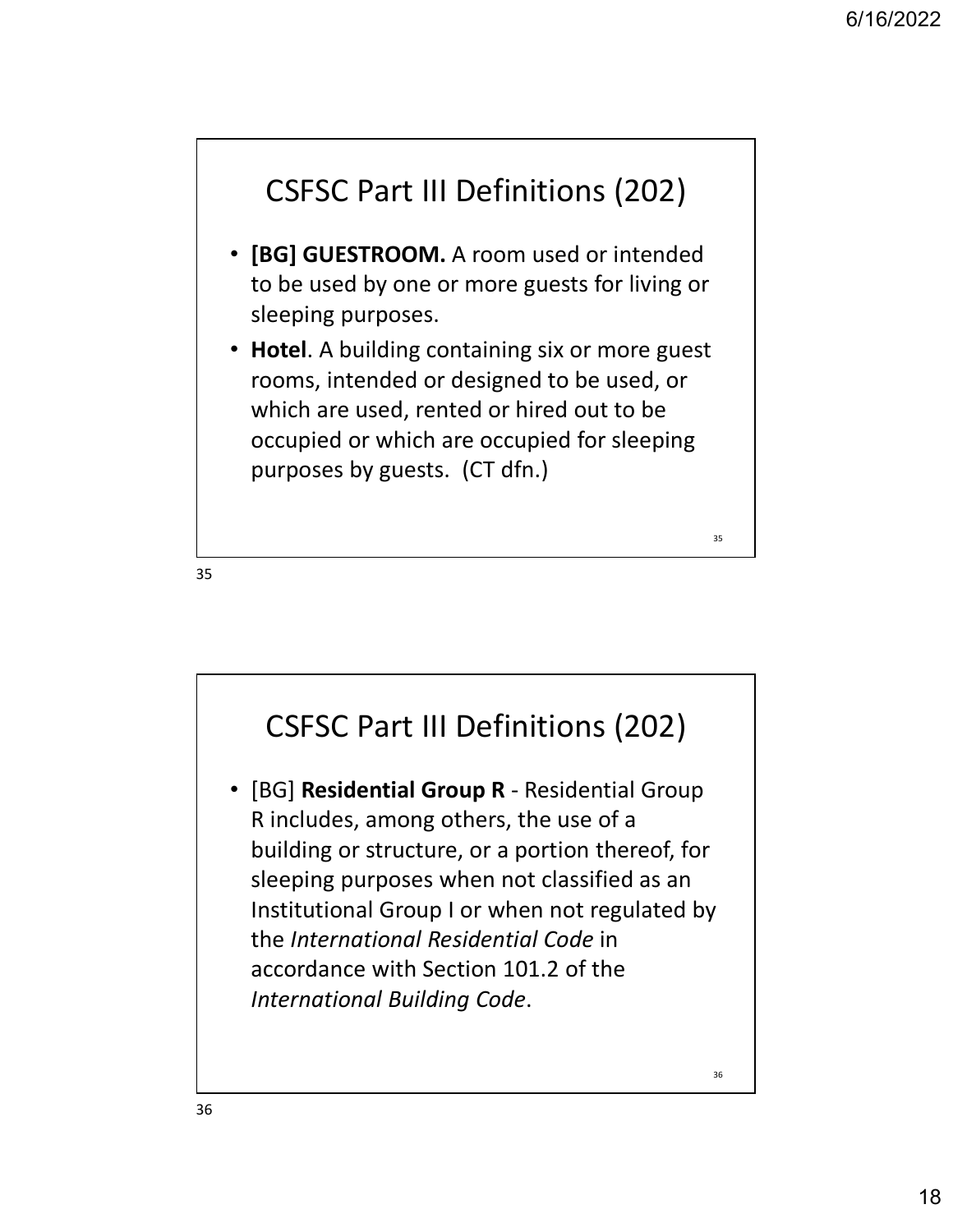$35 \qquad \qquad$ 



- [BG] GUESTROOM. A room used or intended to be used by one or more guests for living or sleeping purposes.
- Hotel. A building containing six or more guest rooms, intended or designed to be used, or which are used, rented or hired out to be occupied or which are occupied for sleeping purposes by guests. (CT dfn.)

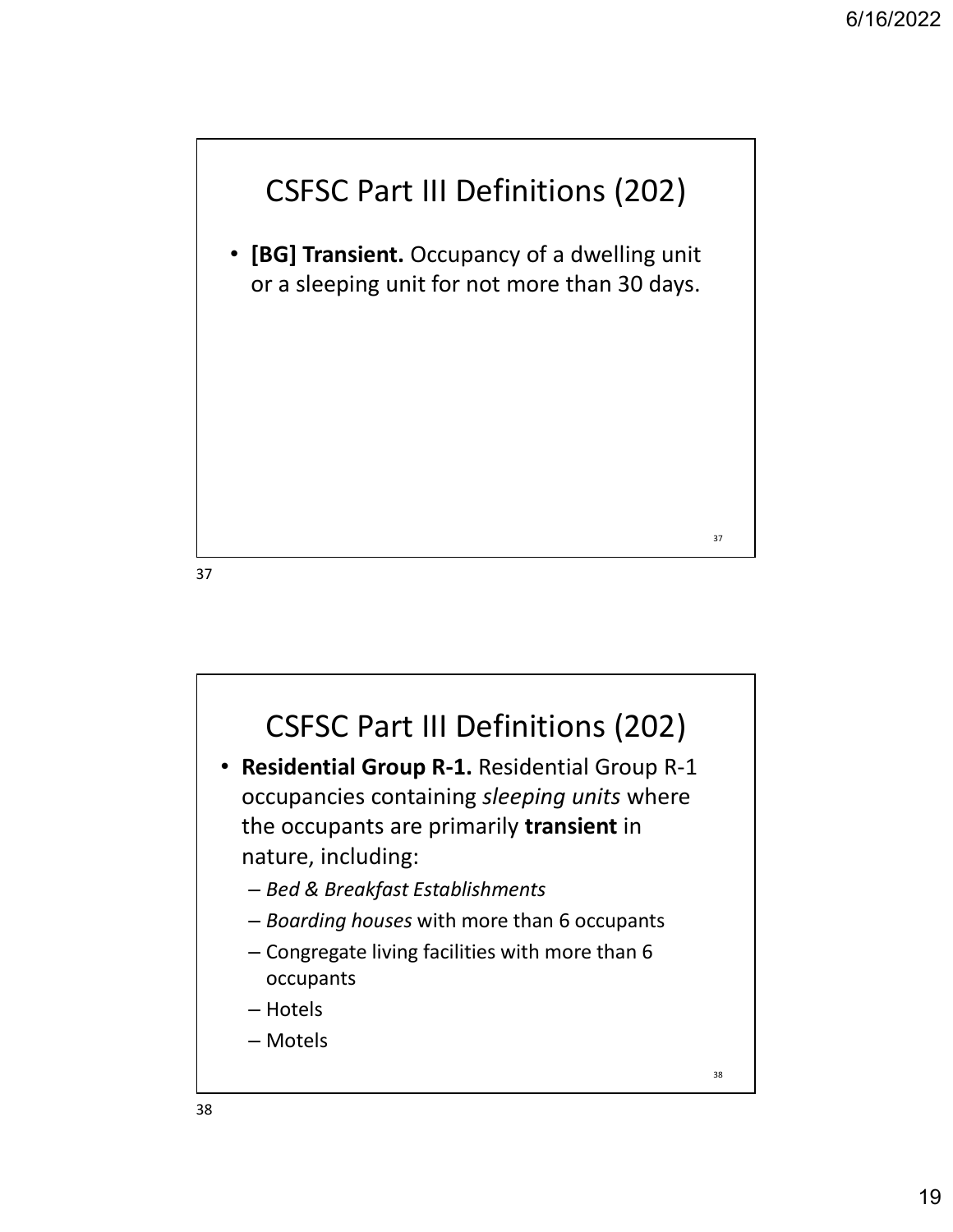

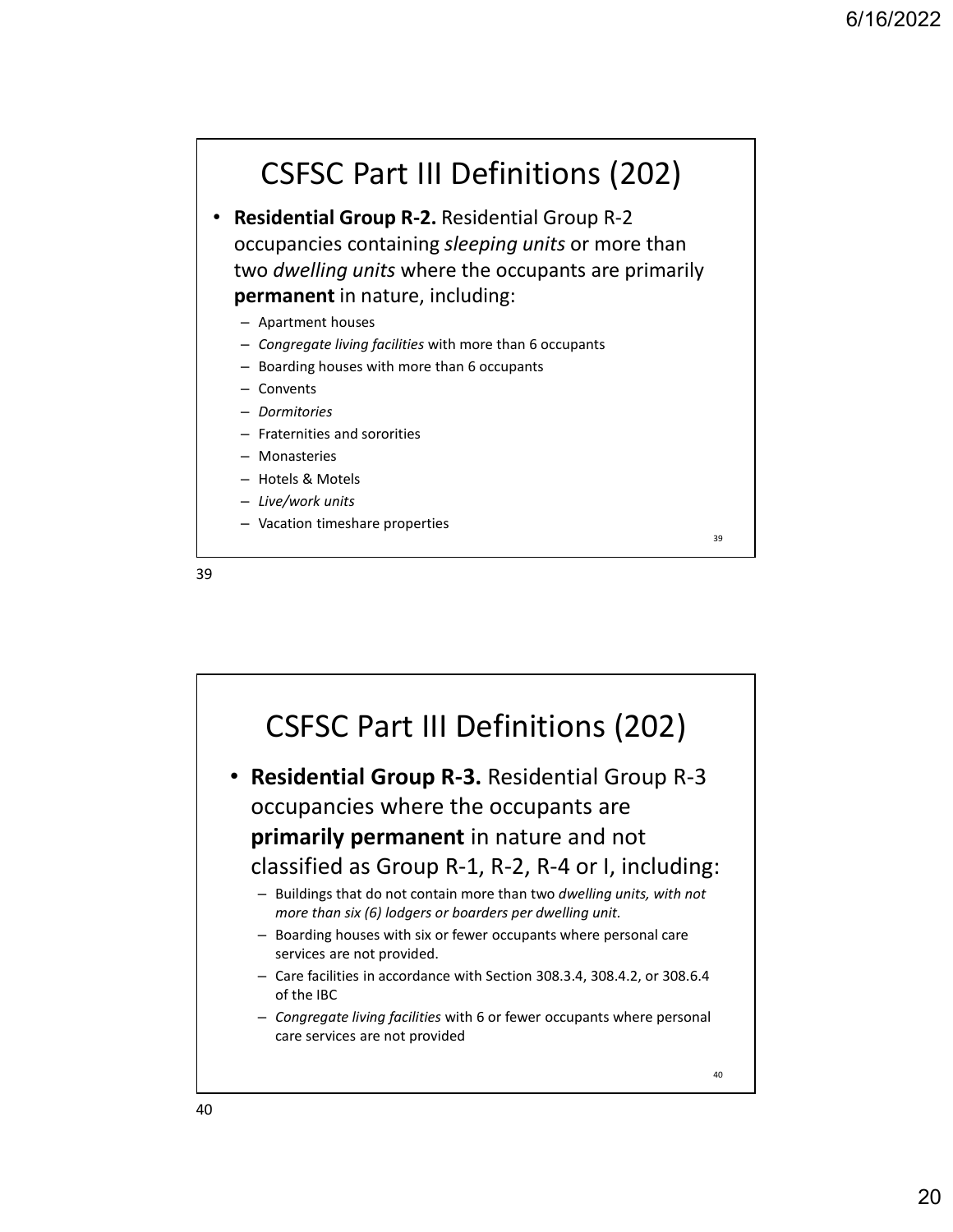### CSFSC Part III Definitions (202)

• Residential Group R-2. Residential Group R-2 occupancies containing sleeping units or more than two dwelling units where the occupants are primarily permanent in nature, including:

- Apartment houses
- Congregate living facilities with more than 6 occupants
- Boarding houses with more than 6 occupants
- Convents
- Dormitories
- Fraternities and sororities
- Monasteries
- Hotels & Motels
- Live/work units
- Vacation timeshare properties

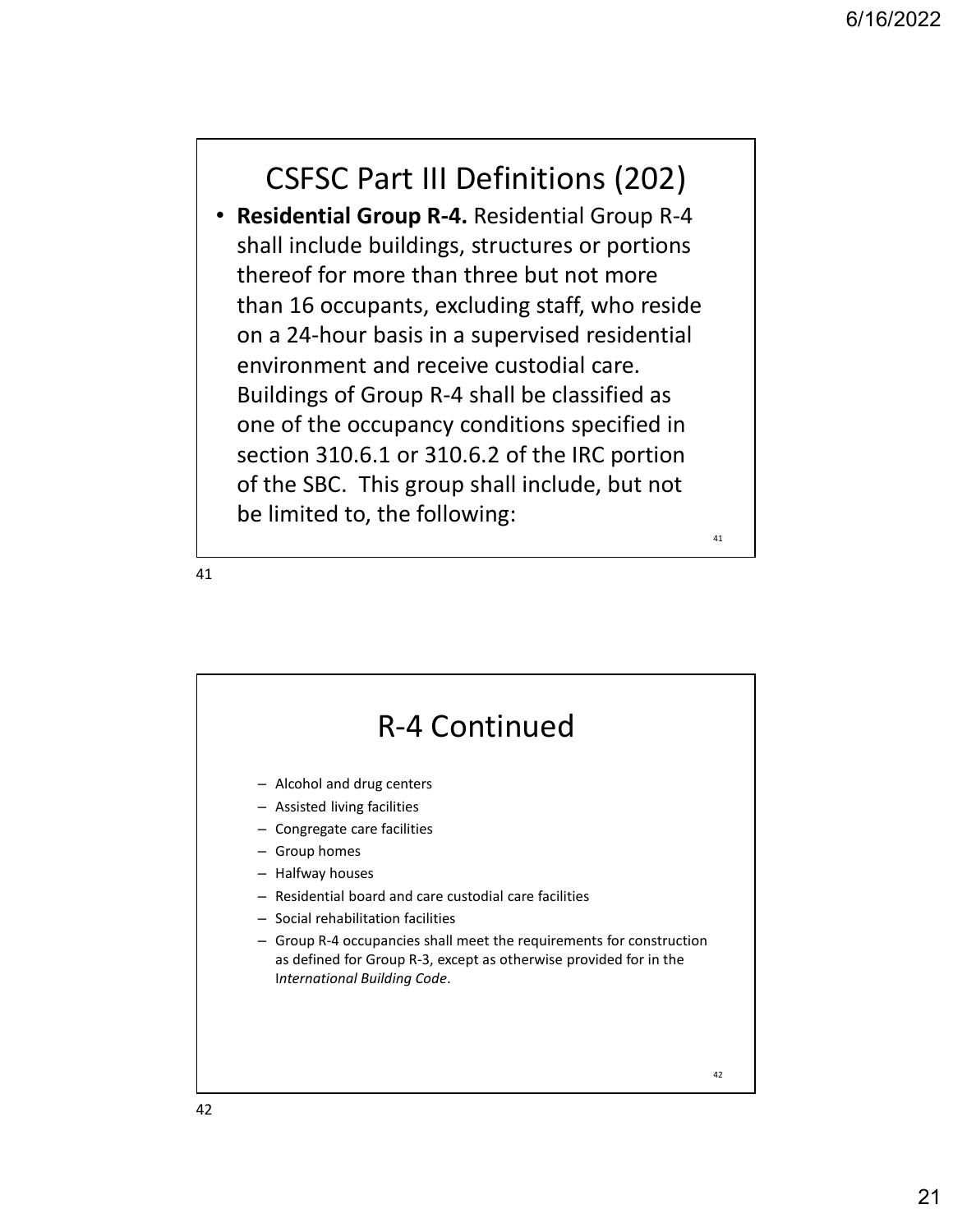### CSFSC Part III Definitions (202)

• Residential Group R-4. Residential Group R-4 shall include buildings, structures or portions thereof for more than three but not more than 16 occupants, excluding staff, who reside on a 24-hour basis in a supervised residential environment and receive custodial care. Buildings of Group R-4 shall be classified as one of the occupancy conditions specified in section 310.6.1 or 310.6.2 of the IRC portion of the SBC. This group shall include, but not be limited to, the following:



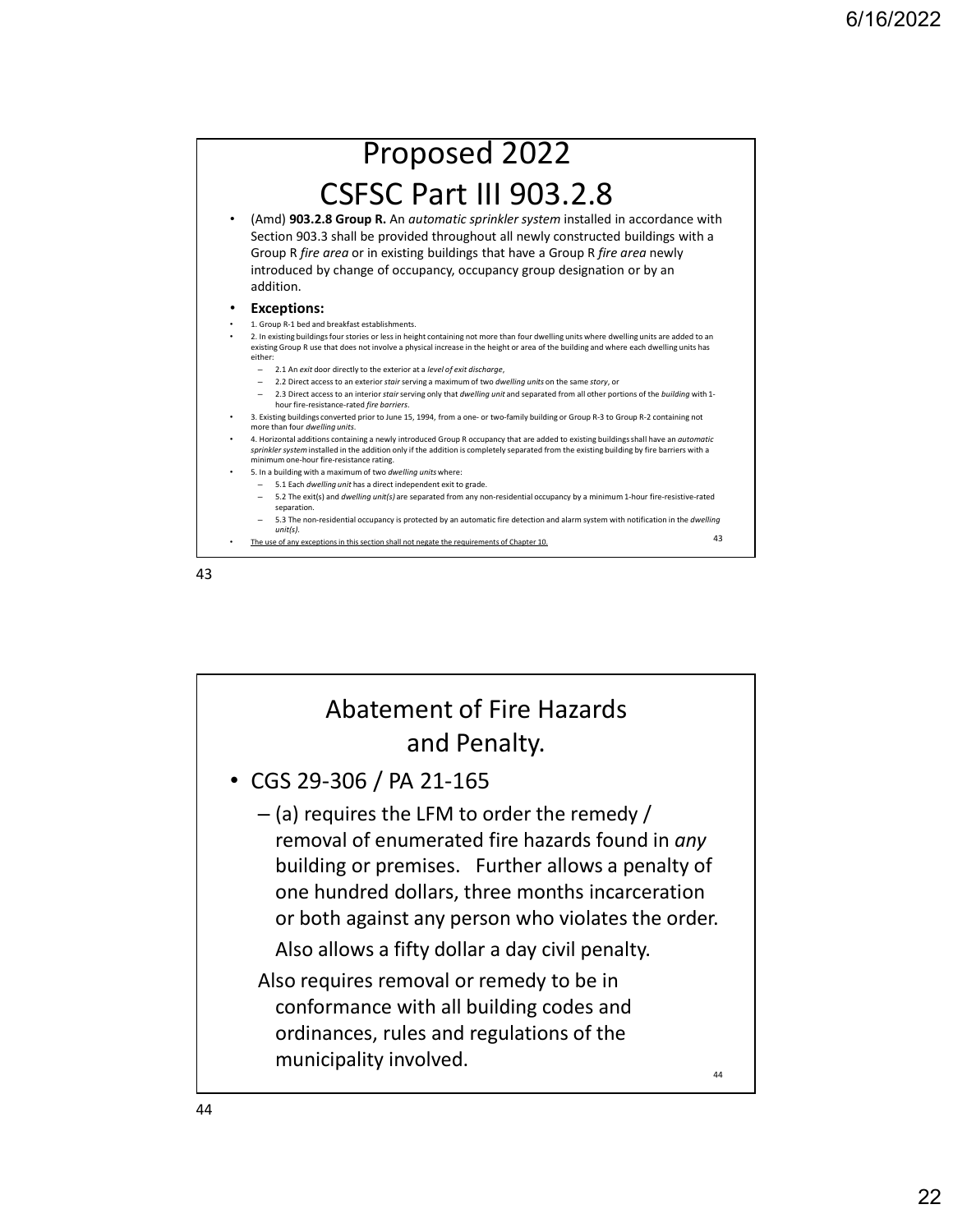

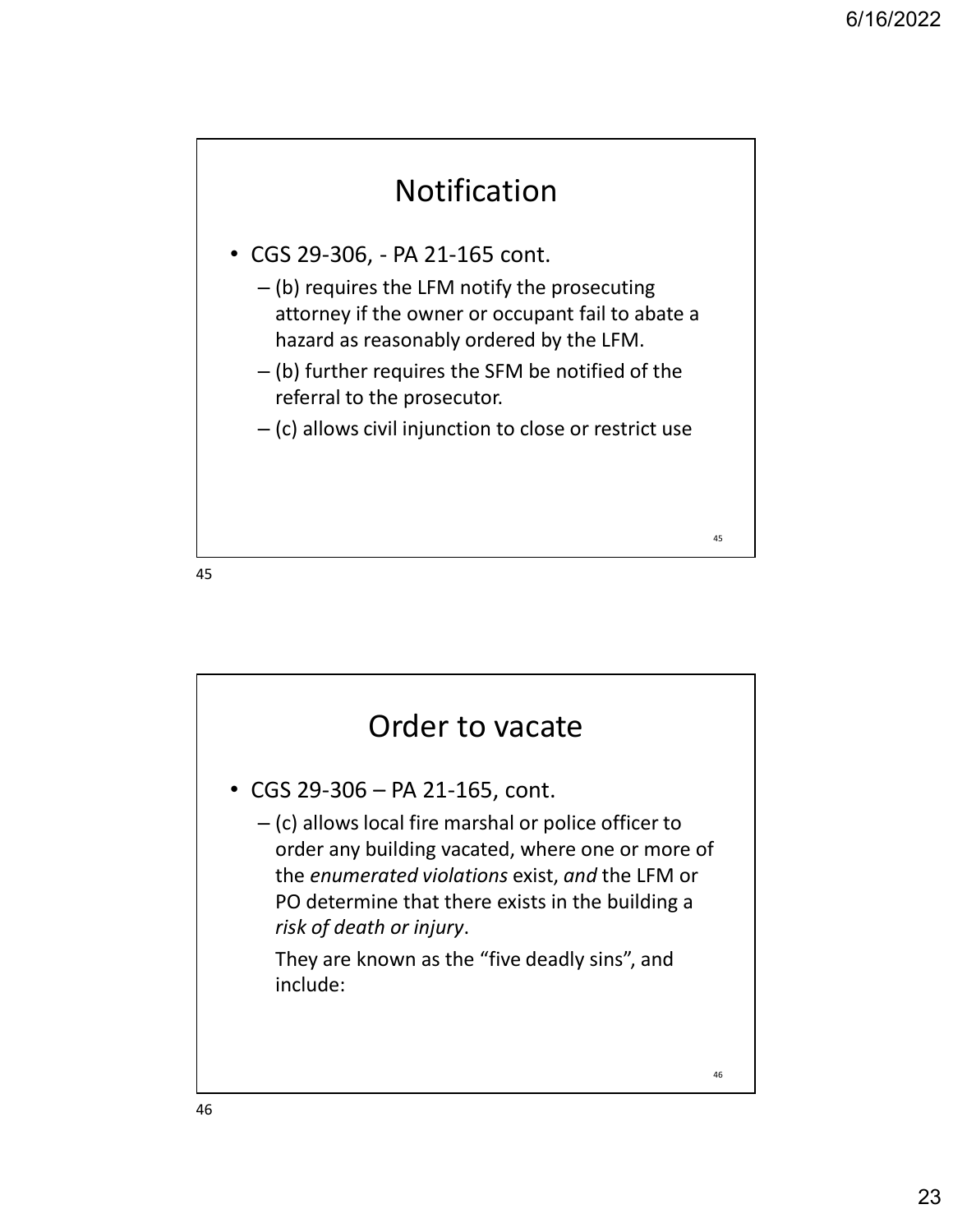

- 
- **CGS 29-306, PA 21-165 cont.**<br>
 CGS 29-306, PA 21-165 cont.<br>
 (b) requires the LFM notify the prosecuting<br>
attorney if the owner or occupant fail to abate a<br>
hazard as reasonably ordered by the LFM.<br>
 (b) further attorney if the owner or occupant fail to abate a hazard as reasonably ordered by the LFM.
	- (b) further requires the SFM be notified of the referral to the prosecutor.
	- (c) allows civil injunction to close or restrict use

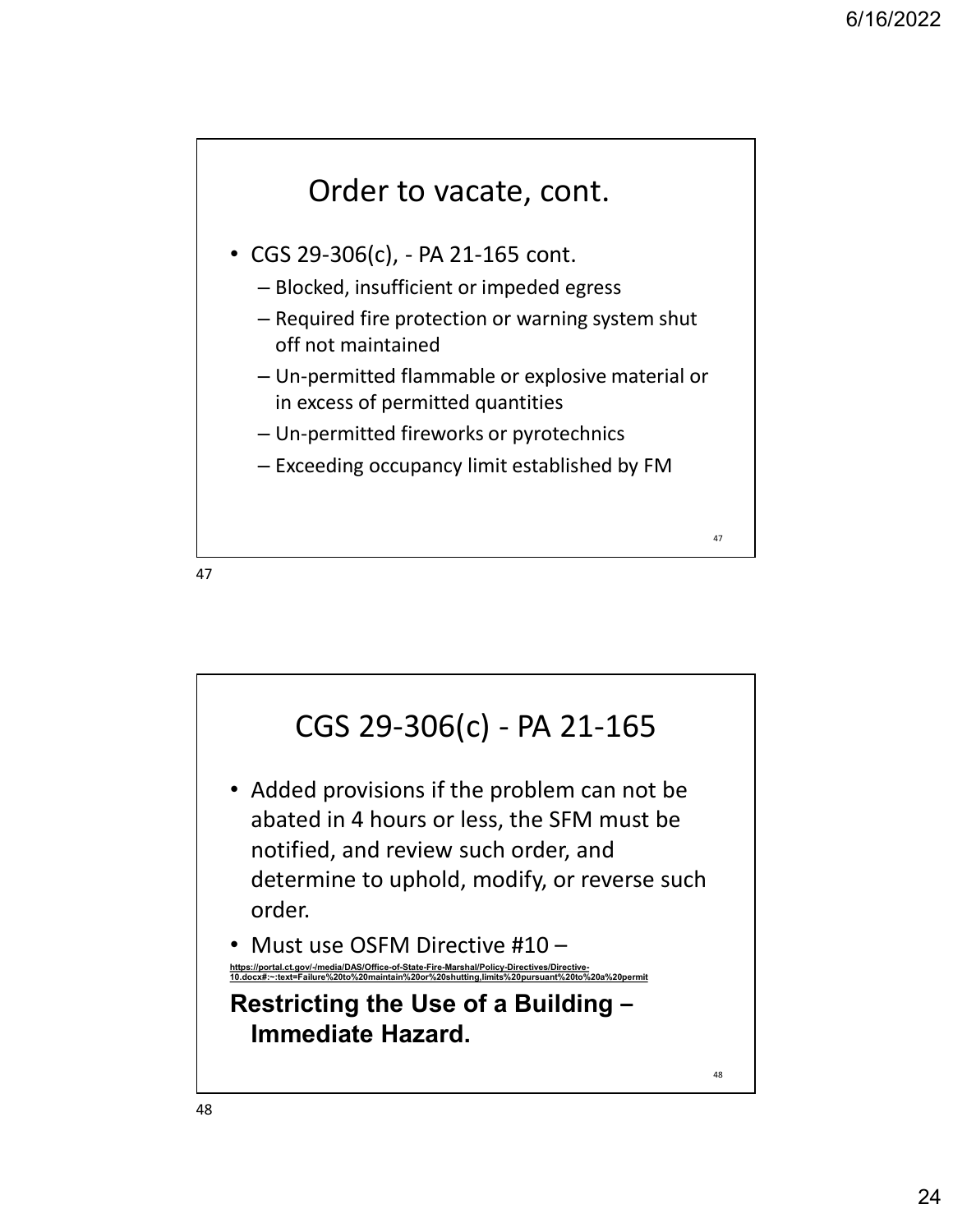

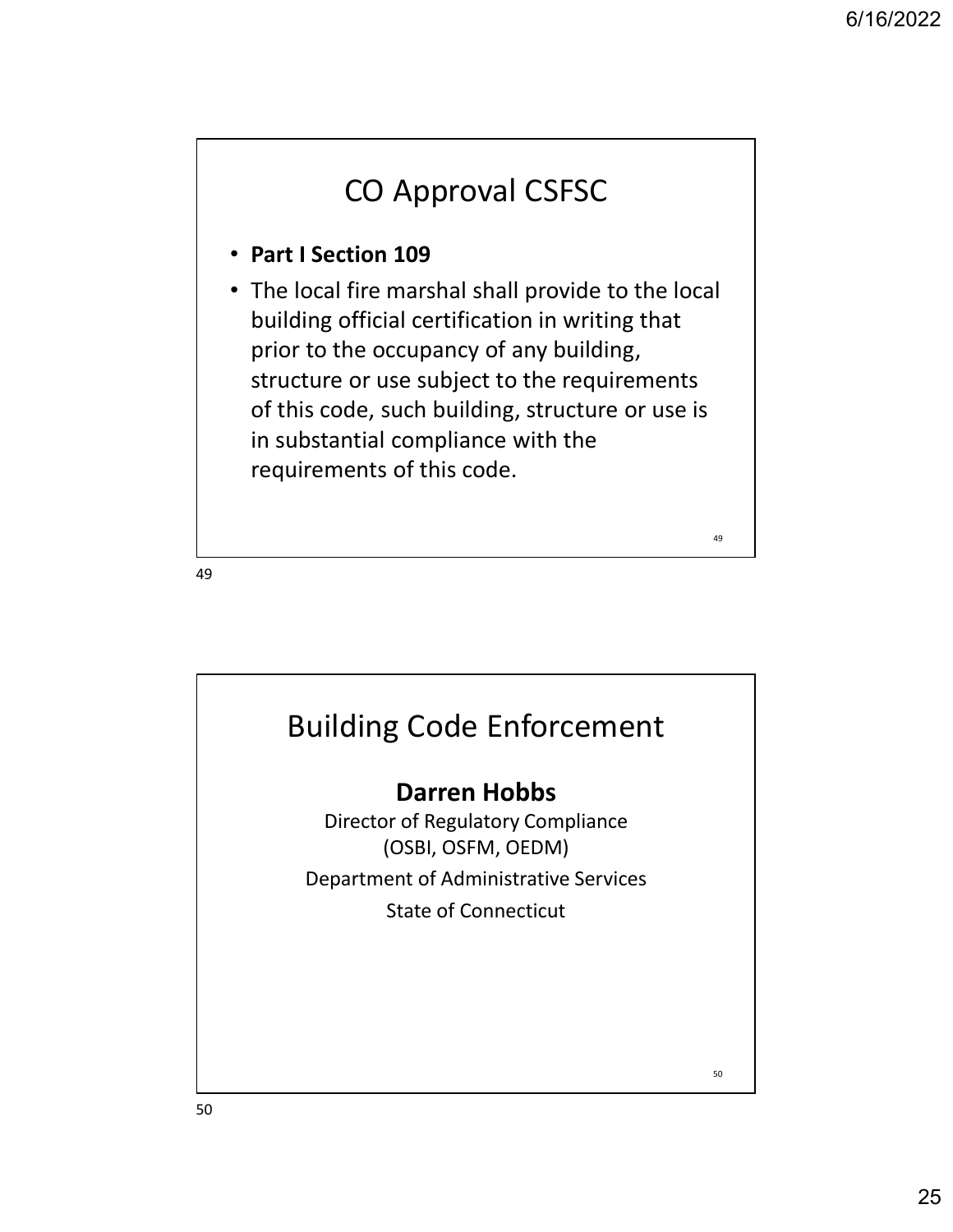## CO Approval CSFSC

#### • Part I Section 109

• The local fire marshal shall provide to the local building official certification in writing that prior to the occupancy of any building, structure or use subject to the requirements of this code, such building, structure or use is in substantial compliance with the requirements of this code.

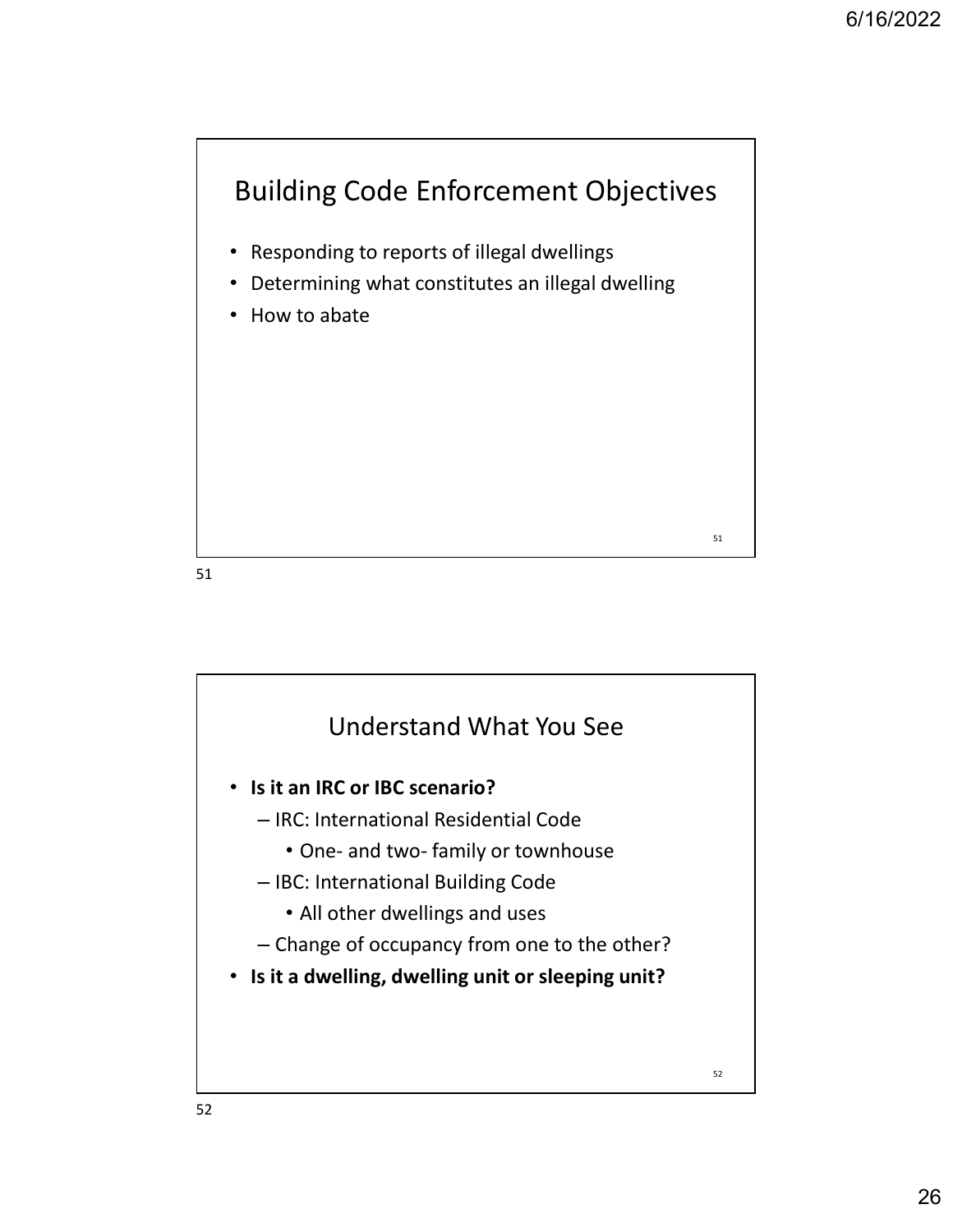

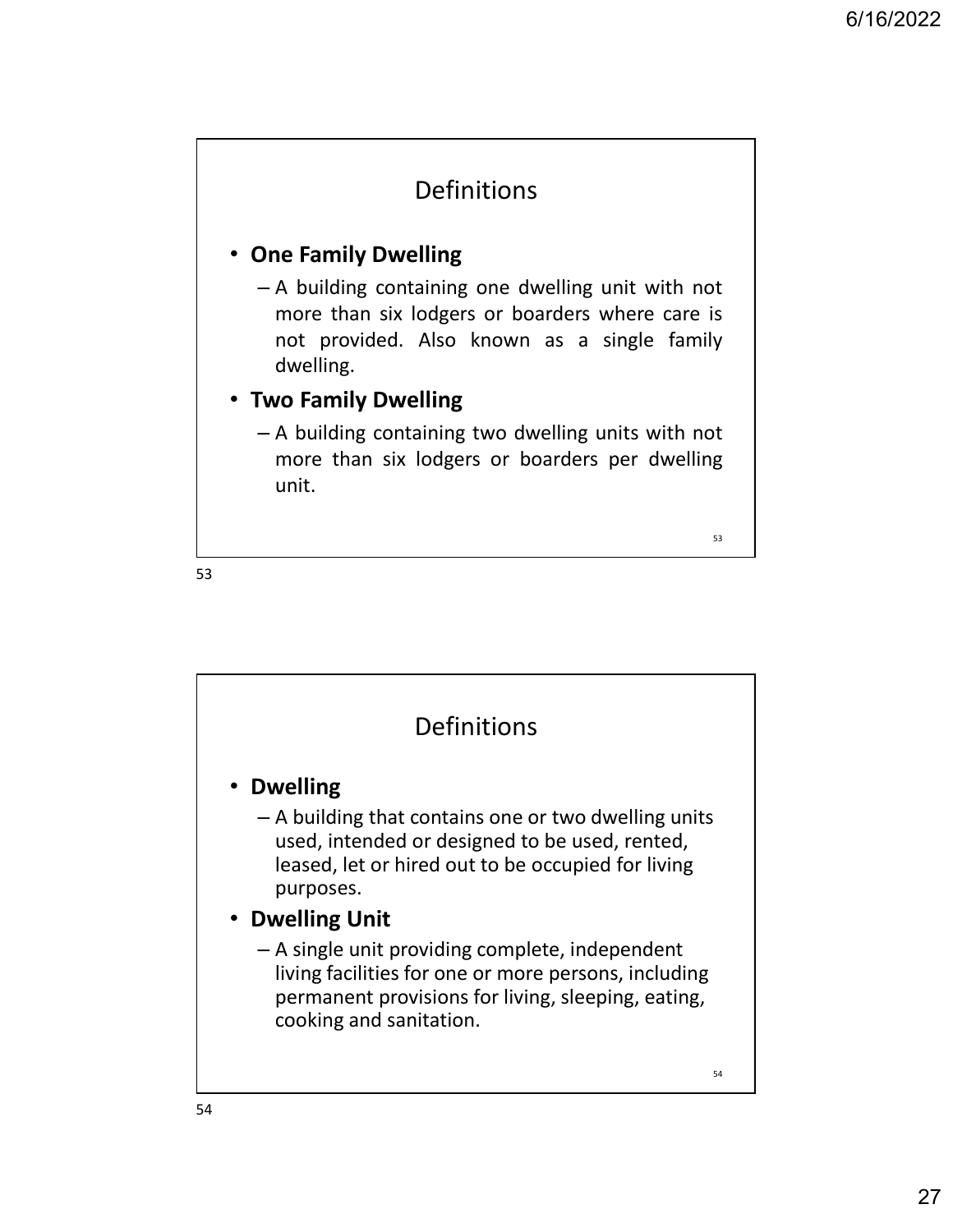### Definitions

#### • One Family Dwelling

6/16/2022<br>
Definitions<br>
Dne Family Dwelling<br>
- A building containing one dwelling unit with not<br>
more than six lodgers or boarders where care is<br>
not provided. Also known as a single family<br>
dwelling.<br>
Iwo Family Dwelling 6/16/2022<br> **Definitions**<br> **ne Family Dwelling**<br>
A building containing one dwelling unit with not<br>
more than six lodgers or boarders where care is<br>
not provided. Also known as a single family<br> **dwelling.**<br> **A building conta** 6/16/2022<br> **Definitions**<br> **notably Dwelling**<br>
A building containing one dwelling unit with not<br>
more than six lodgers or boarders where care is<br>
not provided. Also known as a single family<br>
dwelling.<br>
A building containing dwelling. Definitions<br>
Dne Family Dwelling<br>
- A building containing one dwelling unit with not<br>
more than six lodgers or boarders where care is<br>
not provided. Also known as a single family<br>
dwelling.<br>
- A building containing two dwe Definitions<br>
Definitions<br>
Definitions<br>
A building containing one dwelling unit with not<br>
more than six lodgers or boarders where care is<br>
not provided. Also known as a single family<br>
dwelling.<br>
A building containing two dw

#### • Two Family Dwelling

unit.

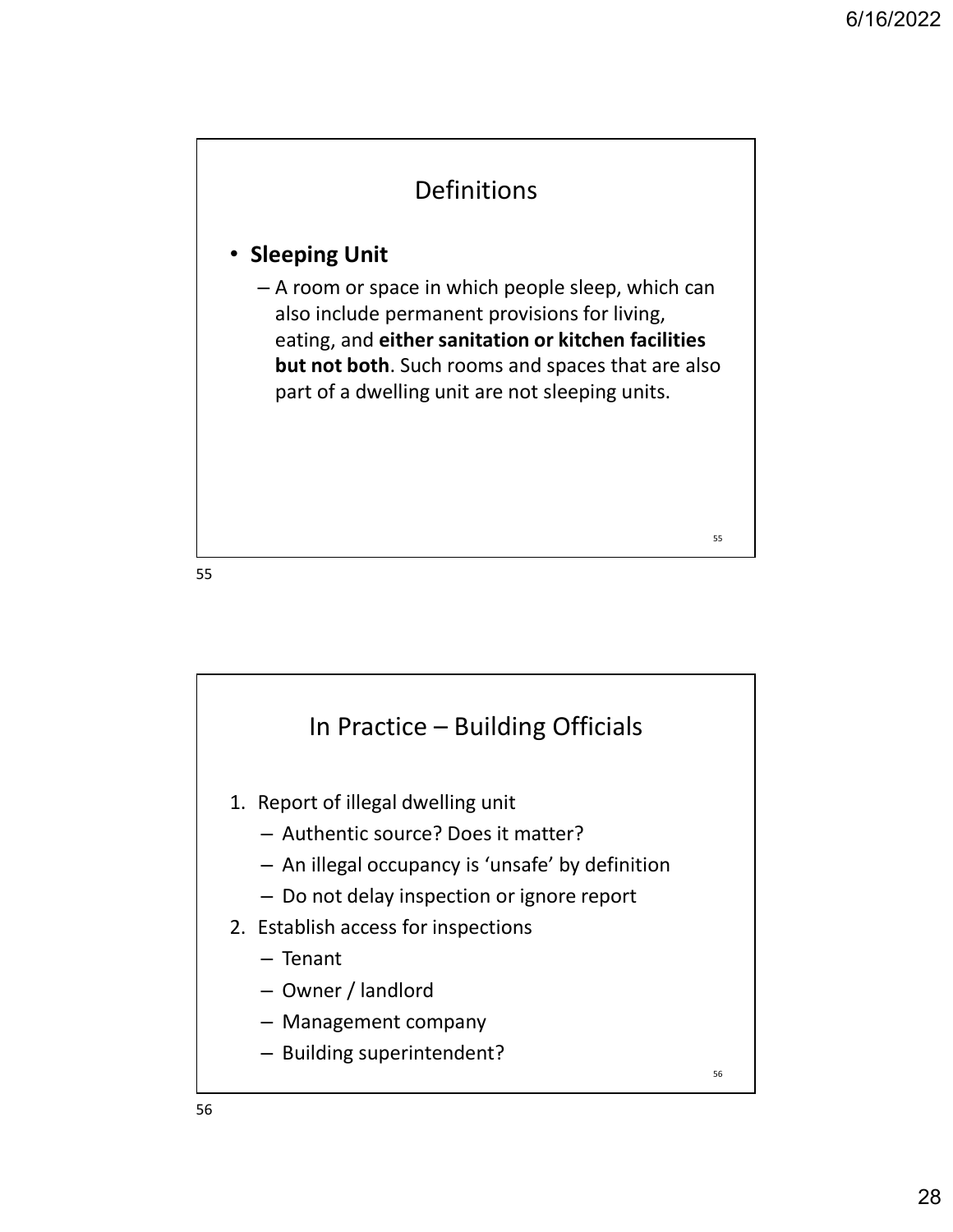$55$  and  $\overline{1}$  and  $\overline{1}$  and  $\overline{1}$  and  $\overline{1}$  and  $\overline{1}$  and  $\overline{1}$  and  $\overline{1}$  and  $\overline{1}$  and  $\overline{1}$  and  $\overline{1}$  and  $\overline{1}$  and  $\overline{1}$  and  $\overline{1}$  and  $\overline{1}$  and  $\overline{1}$  and  $\overline{1}$  and  $\overline$ 

### Definitions

#### • Sleeping Unit

– A room or space in which people sleep, which can also include permanent provisions for living, eating, and either sanitation or kitchen facilities but not both. Such rooms and spaces that are also part of a dwelling unit are not sleeping units.

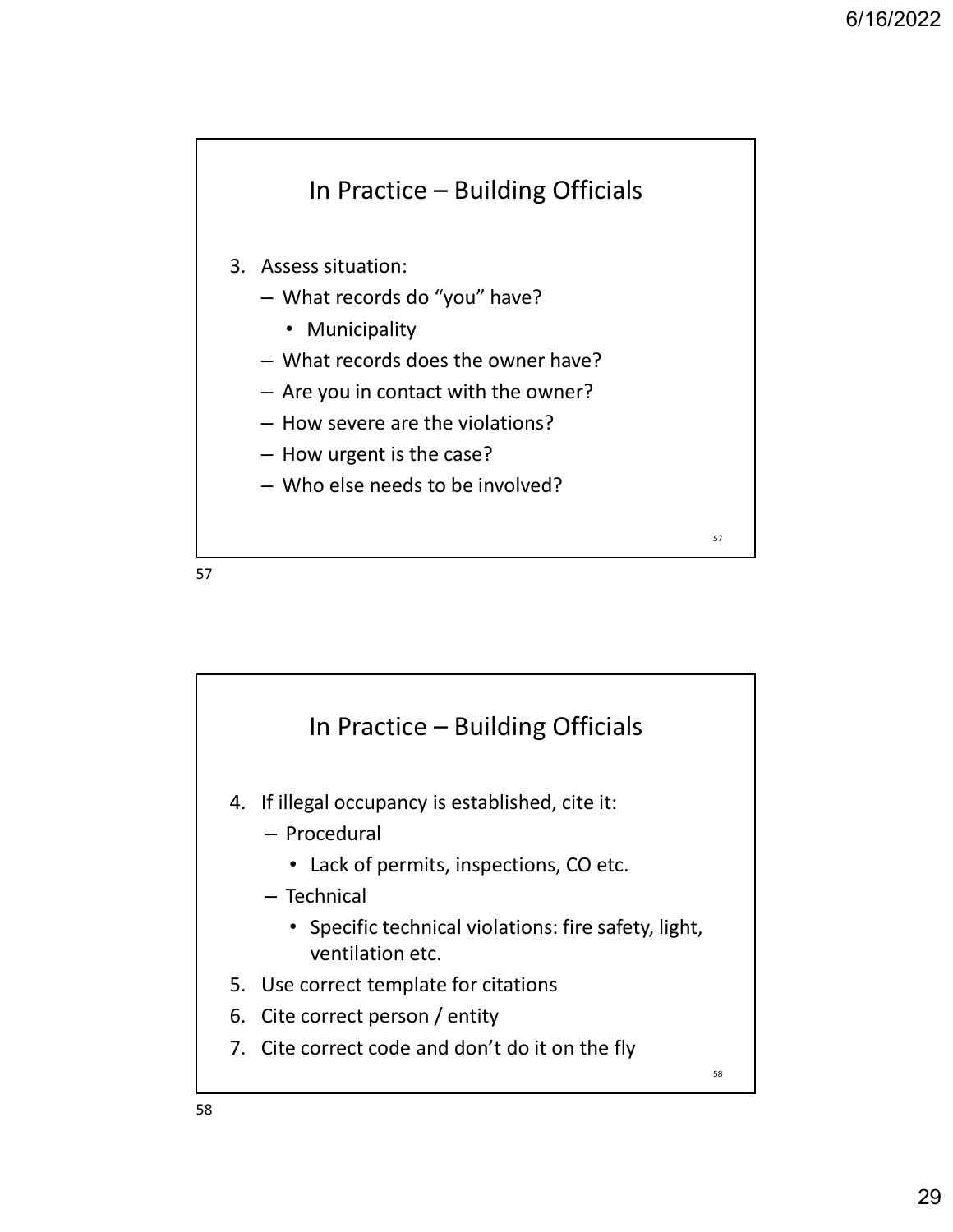

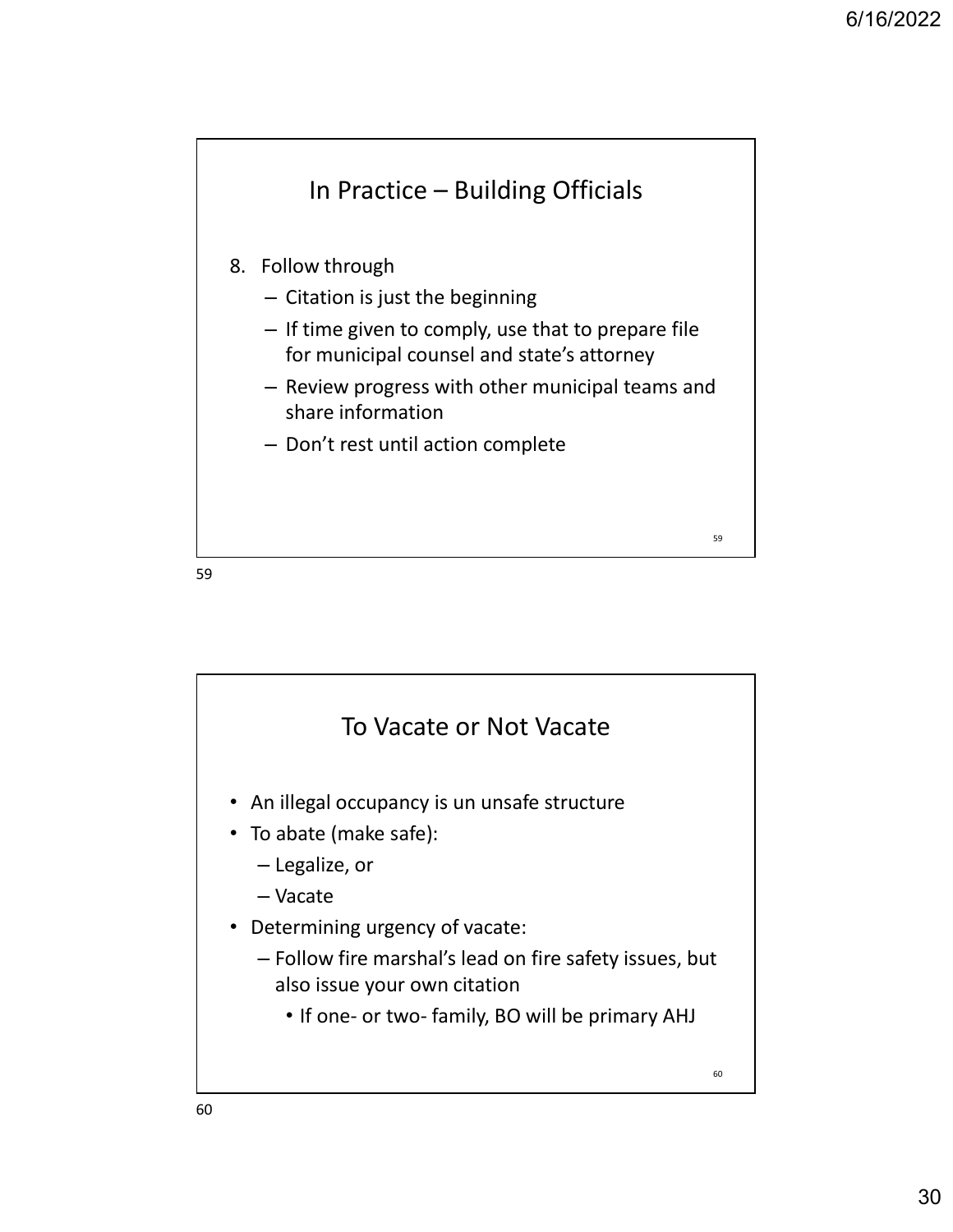

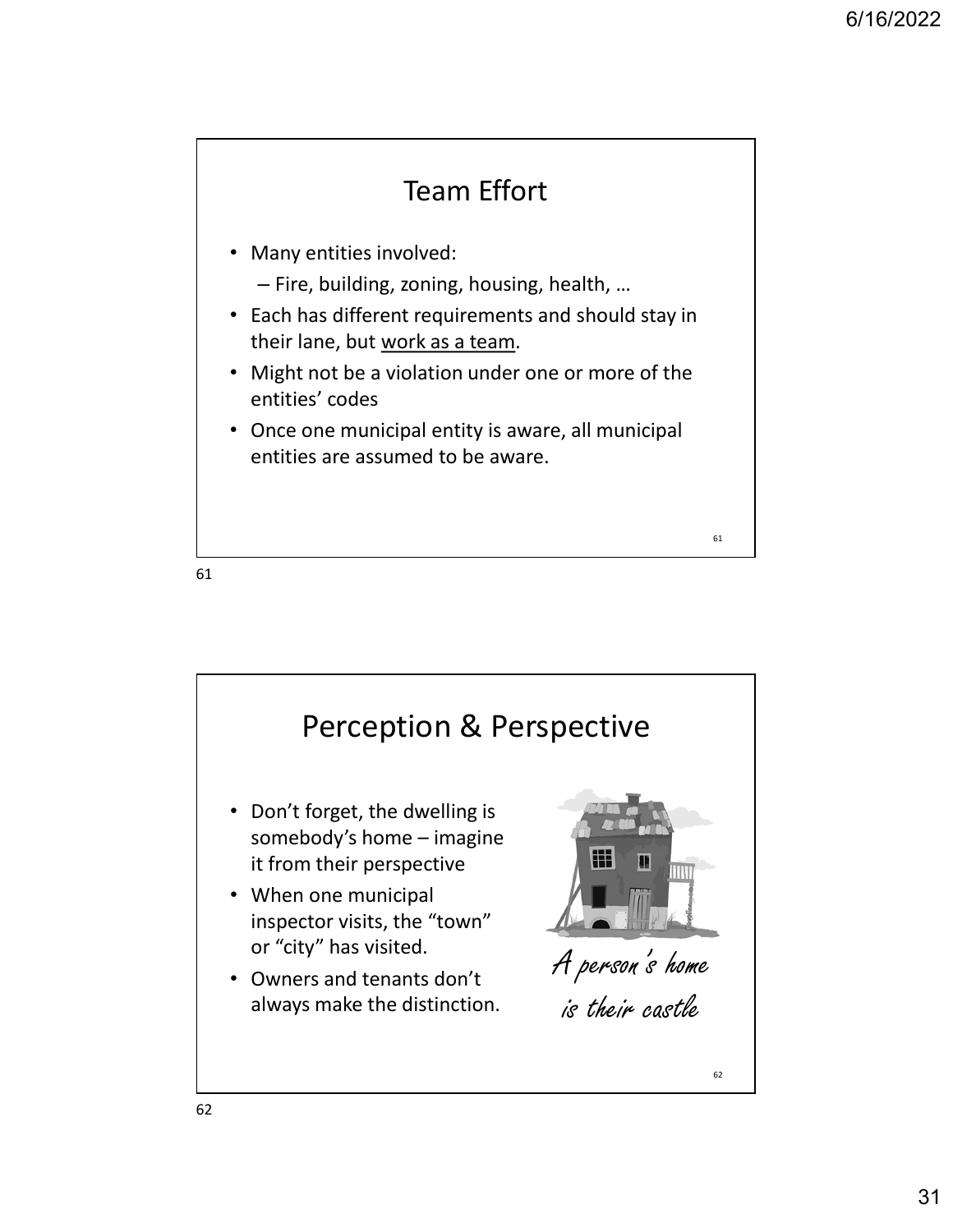

- Many entities involved:
	- Fire, building, zoning, housing, health, …
- Each has different requirements and should stay in their lane, but work as a team.
- Might not be a violation under one or more of the entities' codes
- Once one municipal entity is aware, all municipal entities are assumed to be aware.

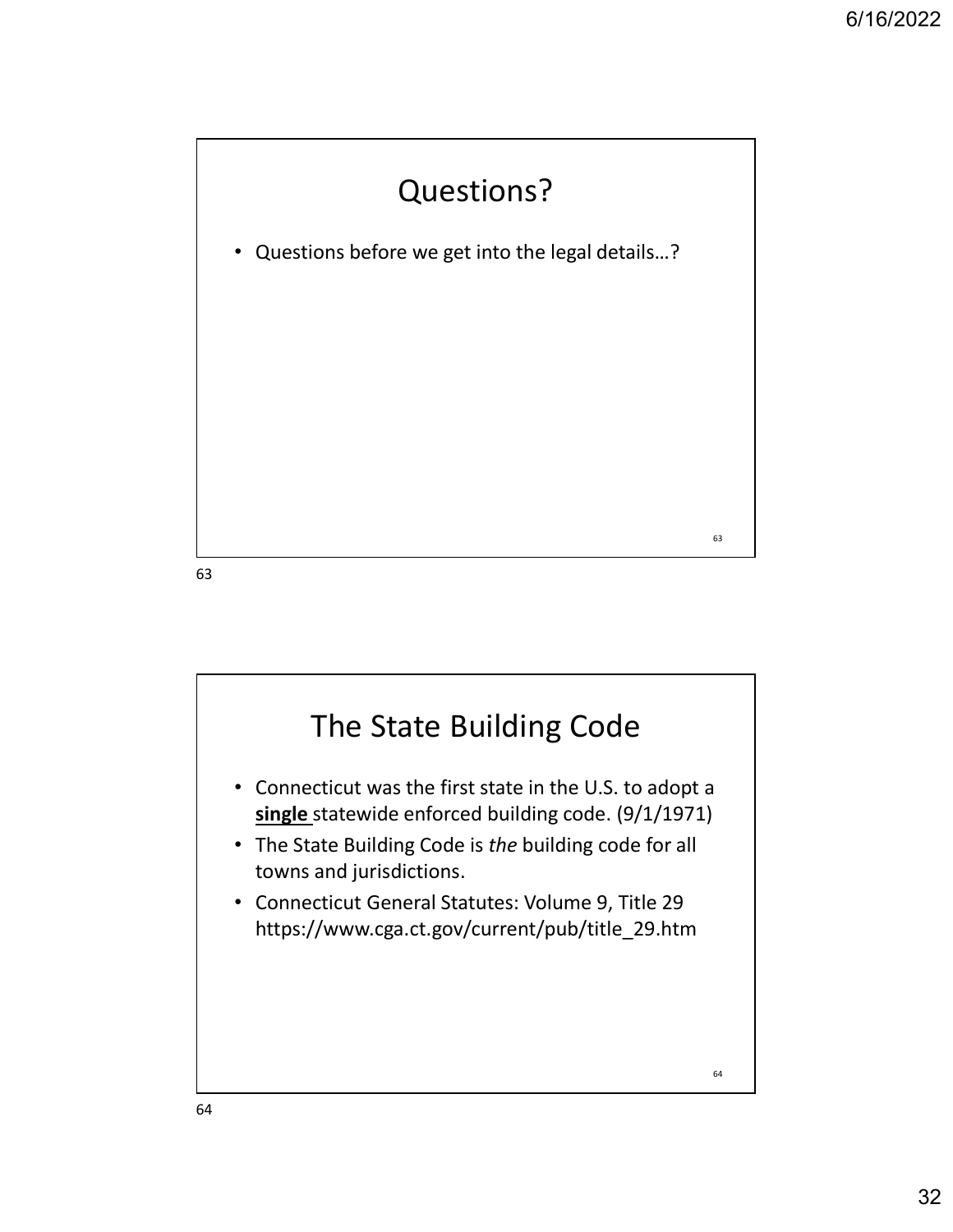



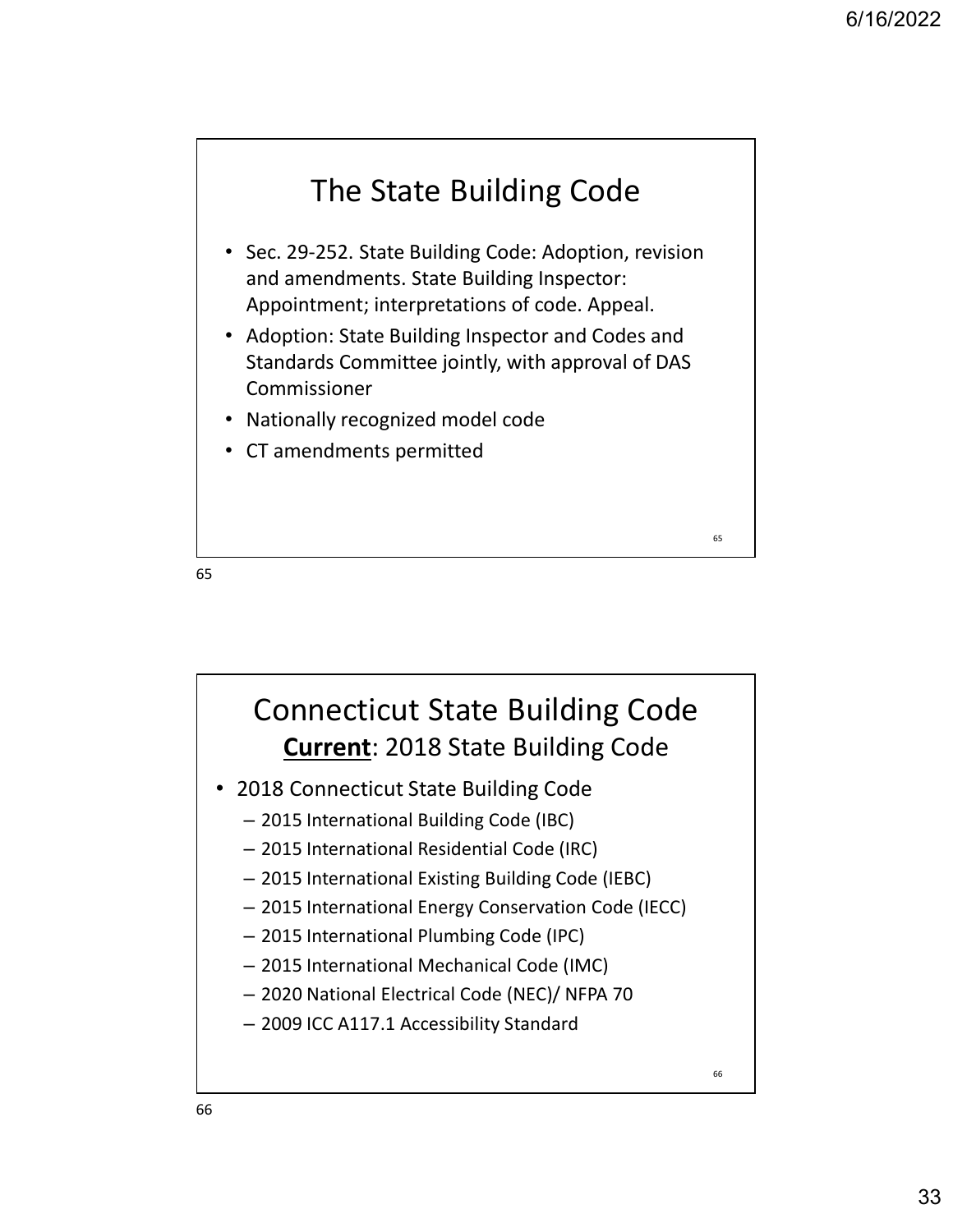

- Sec. 29-252. State Building Code: Adoption, revision and amendments. State Building Inspector: Appointment; interpretations of code. Appeal.
- Adoption: State Building Inspector and Codes and Standards Committee jointly, with approval of DAS Commissioner
- Nationally recognized model code
- CT amendments permitted  $\begin{array}{c} \bullet \\ \bullet \\ \bullet \\ \bullet \\ \bullet \end{array}$

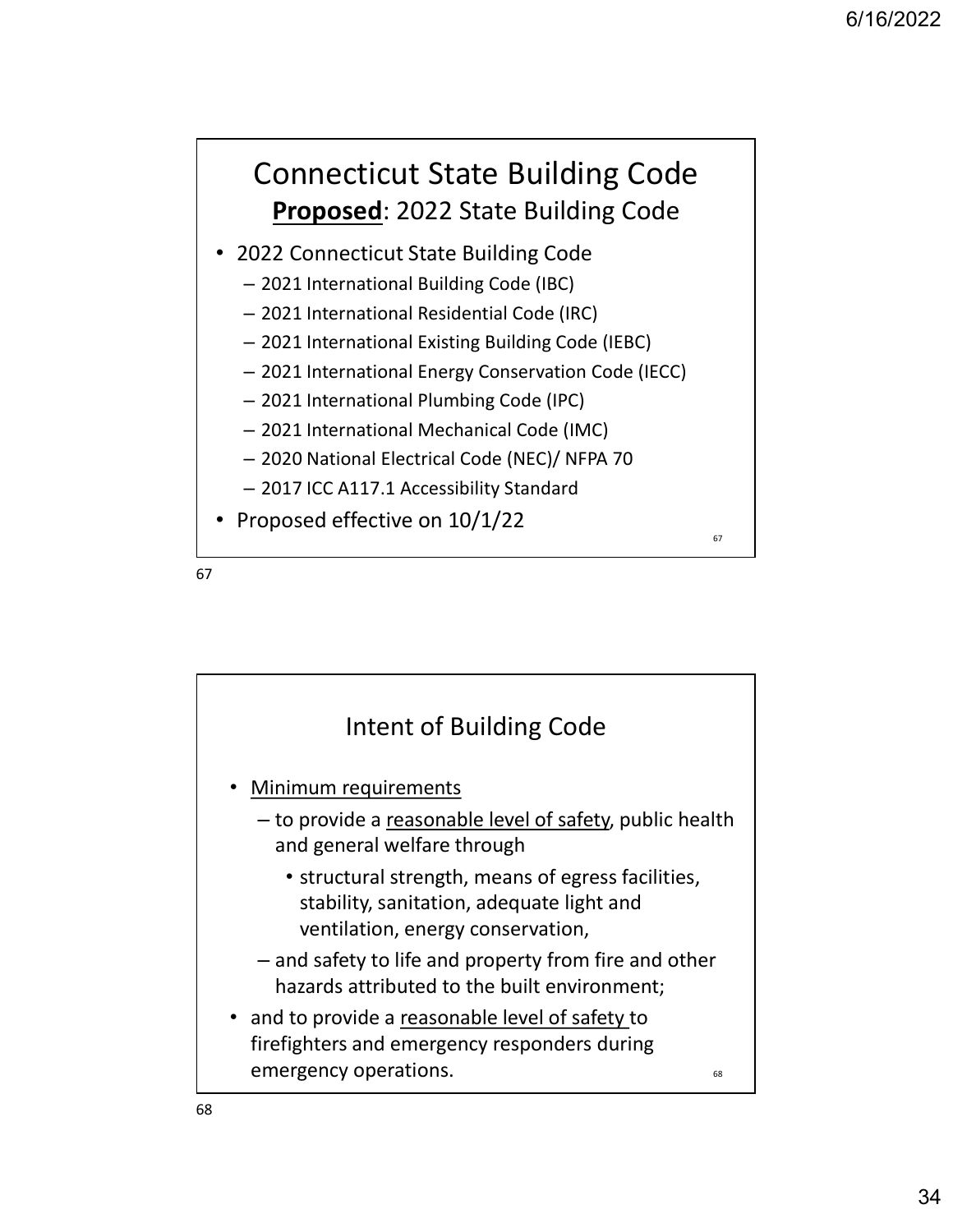### Connecticut State Building Code Proposed: 2022 State Building Code

- 2022 Connecticut State Building Code
	- 2021 International Building Code (IBC)
	- 2021 International Residential Code (IRC)
	- 2021 International Existing Building Code (IEBC)
	- 2021 International Energy Conservation Code (IECC)
	- 2021 International Plumbing Code (IPC)
	- 2021 International Mechanical Code (IMC)
	- 2020 National Electrical Code (NEC)/ NFPA 70
	- 2017 ICC A117.1 Accessibility Standard
- Proposed effective on  $10/1/22$



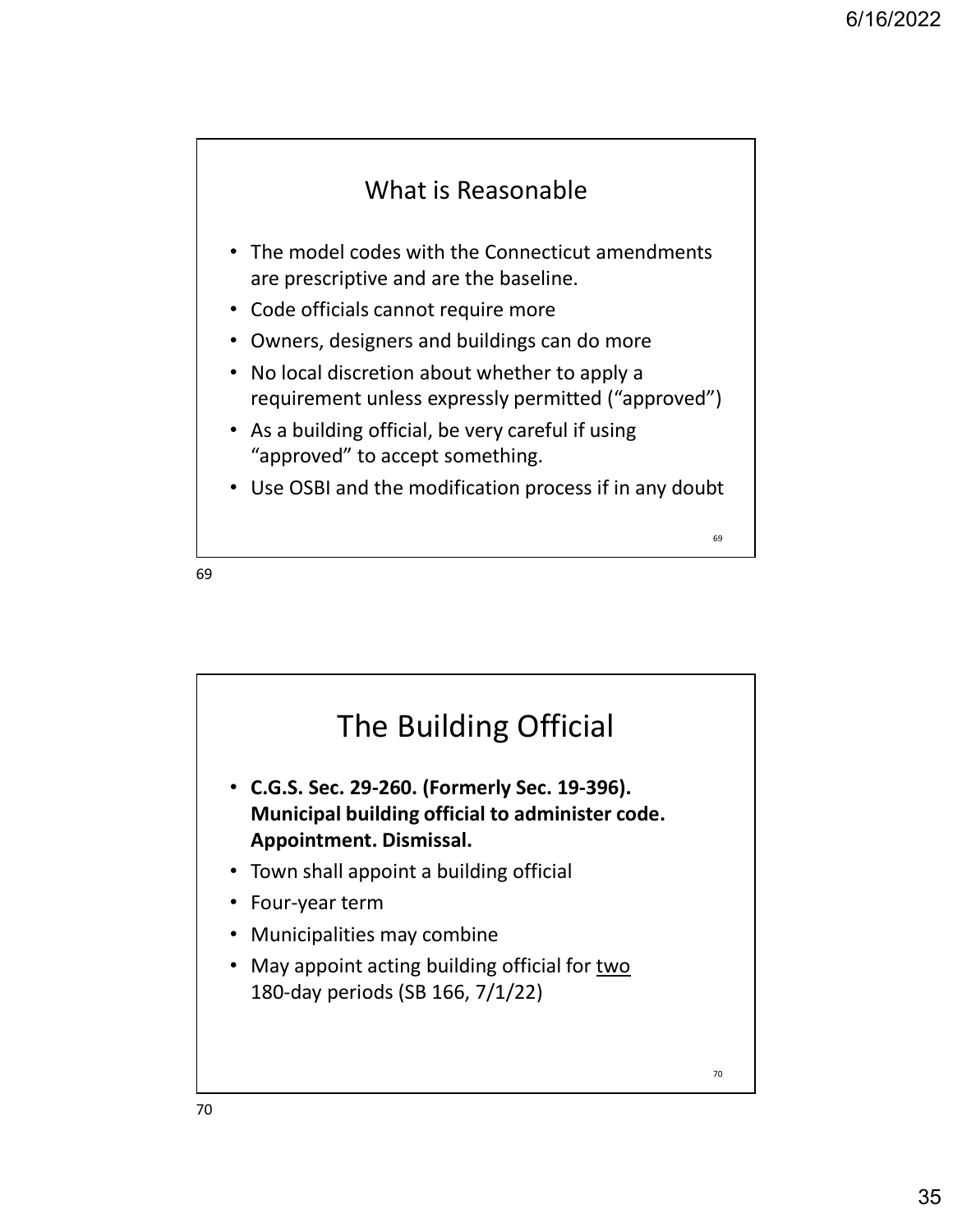### What is Reasonable

- The model codes with the Connecticut amendments are prescriptive and are the baseline.
- Code officials cannot require more
- Owners, designers and buildings can do more
- No local discretion about whether to apply a requirement unless expressly permitted ("approved")
- As a building official, be very careful if using "approved" to accept something.
- Use OSBI and the modification process if in any doubt  $\frac{1}{69}$

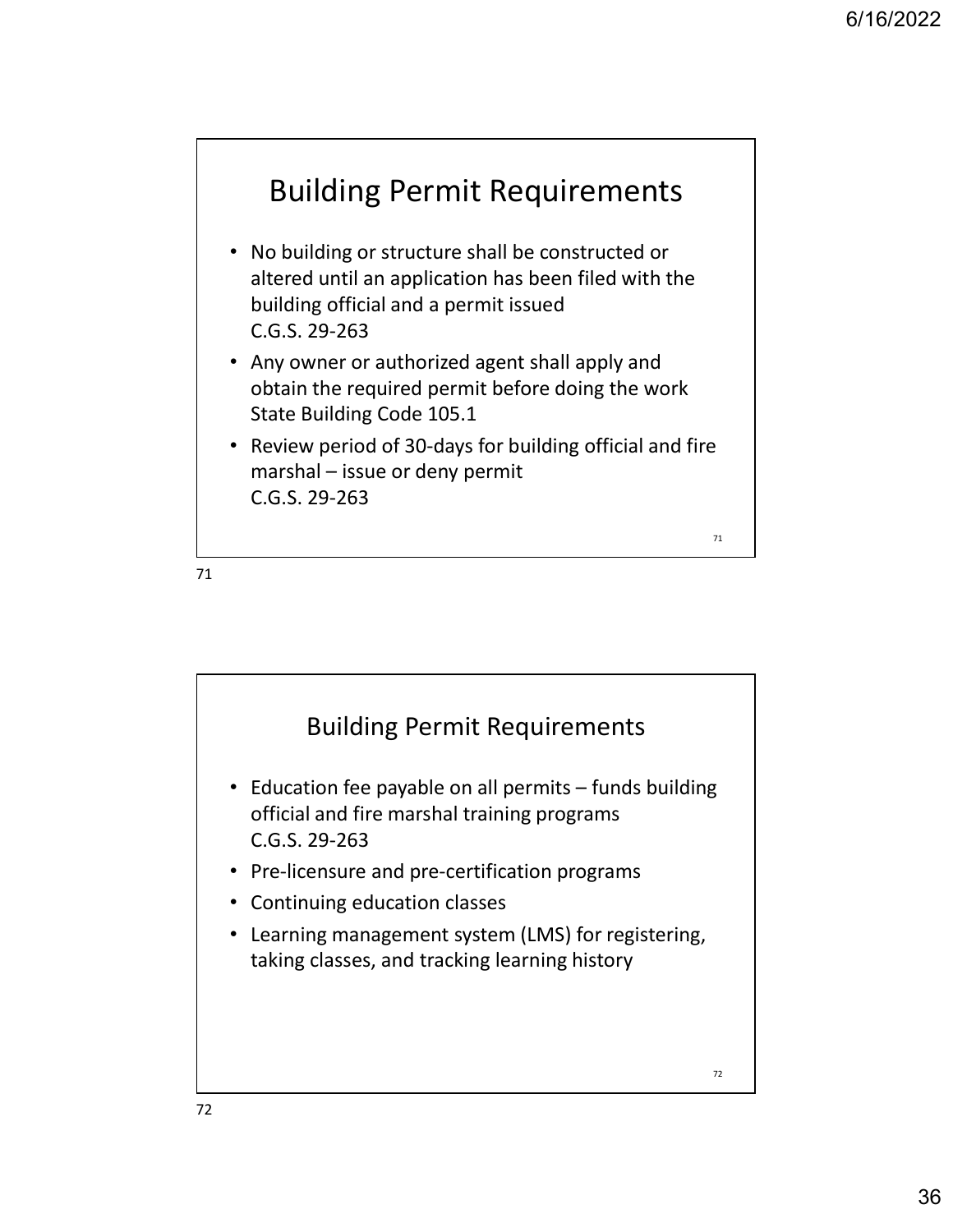## Building Permit Requirements

- No building or structure shall be constructed or altered until an application has been filed with the building official and a permit issued C.G.S. 29-263 **Building Permit Requirements**<br>
No building or structure shall be constructed or<br>
altered until an application has been filed with the<br>
building official and a permit issued<br>
C.G.S. 29-263<br>
Any owner or authorized agent sh
- Any owner or authorized agent shall apply and obtain the required permit before doing the work State Building Code 105.1
- Review period of 30-days for building official and fire C.G.S. 29-263

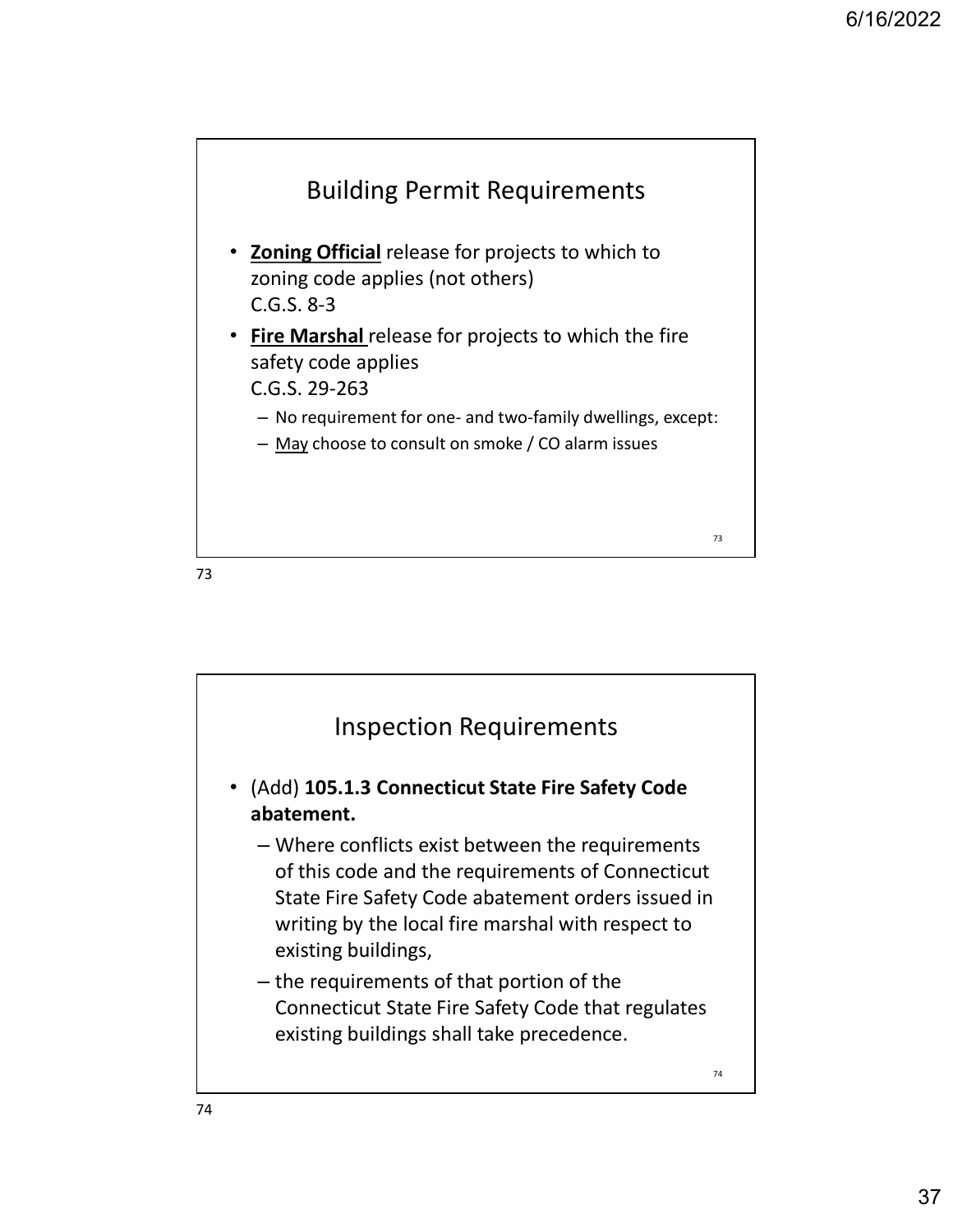

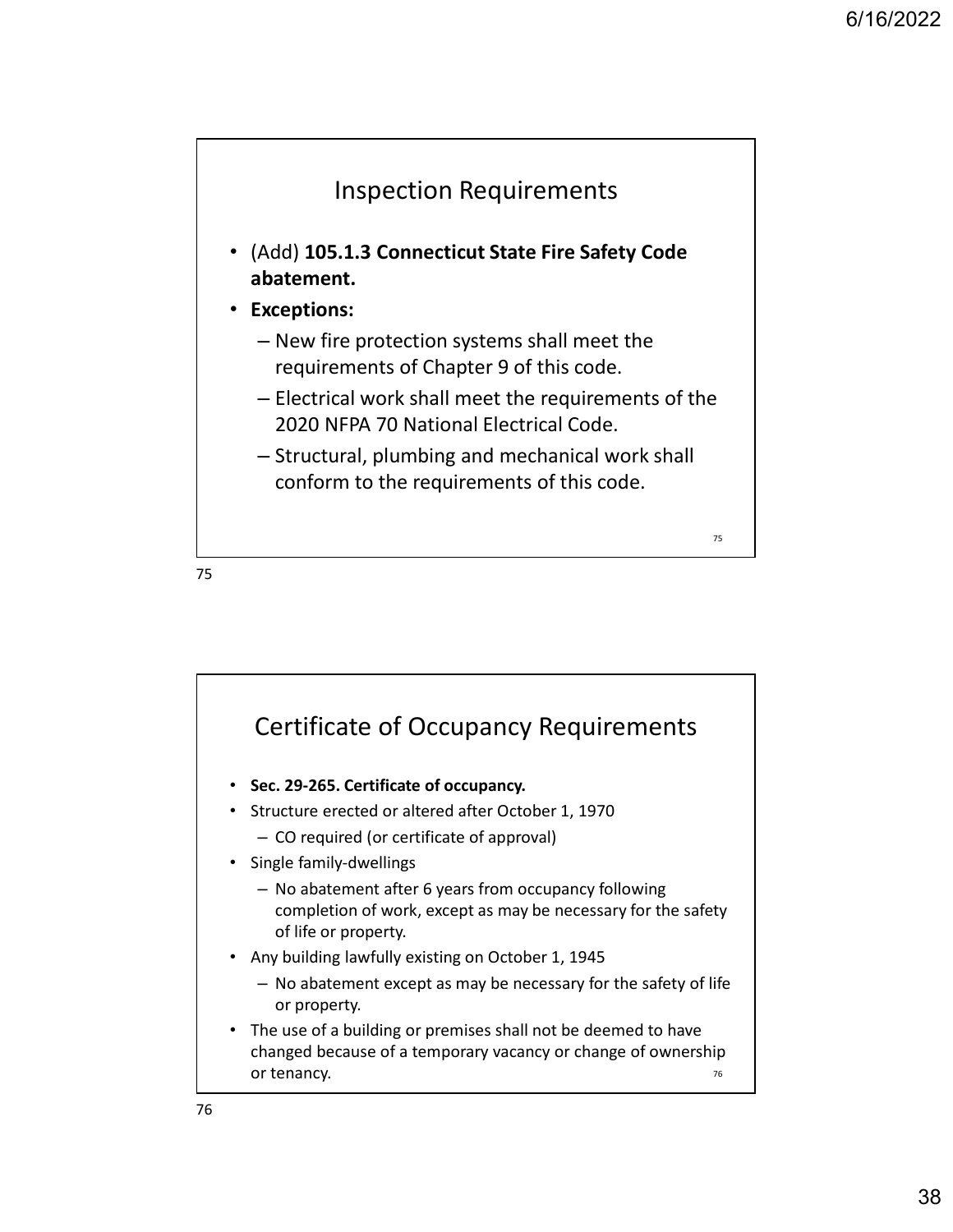

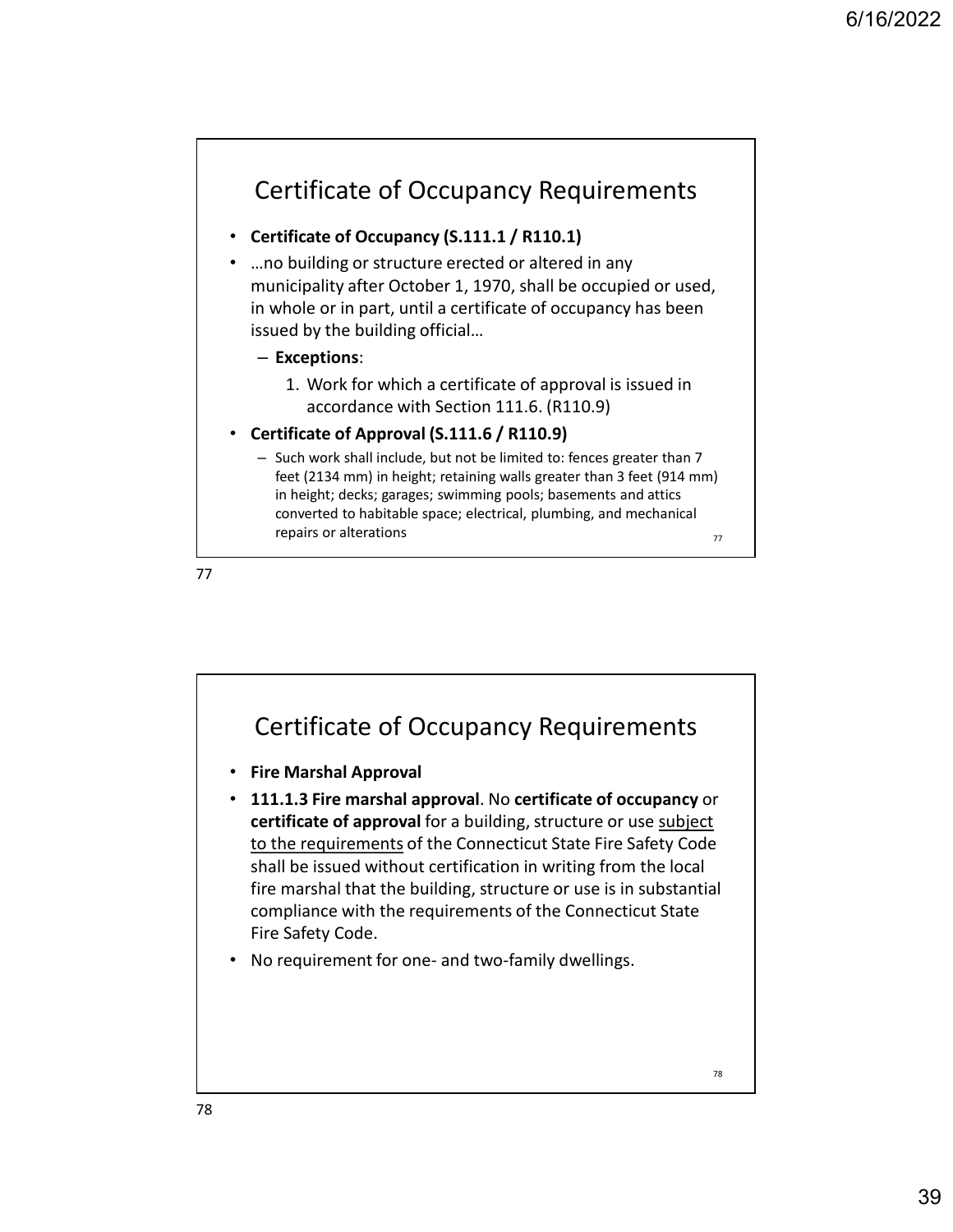#### Certificate of Occupancy Requirements

#### • Certificate of Occupancy (S.111.1 / R110.1)

• …no building or structure erected or altered in any municipality after October 1, 1970, shall be occupied or used, in whole or in part, until a certificate of occupancy has been issued by the building official… **Trificate of Occupancy Requirements**<br> **ificate of Occupancy (S.111.1 / R110.1)**<br>
building or structure erected or altered in any<br>
icipality after October 1, 1970, shall be occupied or used,<br>
ed by the building official...

#### – Exceptions:

accordance with Section 111.6. (R110.9)

#### • Certificate of Approval (S.111.6 / R110.9)

– Such work shall include, but not be limited to: fences greater than 7 feet (2134 mm) in height; retaining walls greater than 3 feet (914 mm) in height; decks; garages; swimming pools; basements and attics converted to habitable space; electrical, plumbing, and mechanical repairs or alterations  $\frac{77}{27}$ 

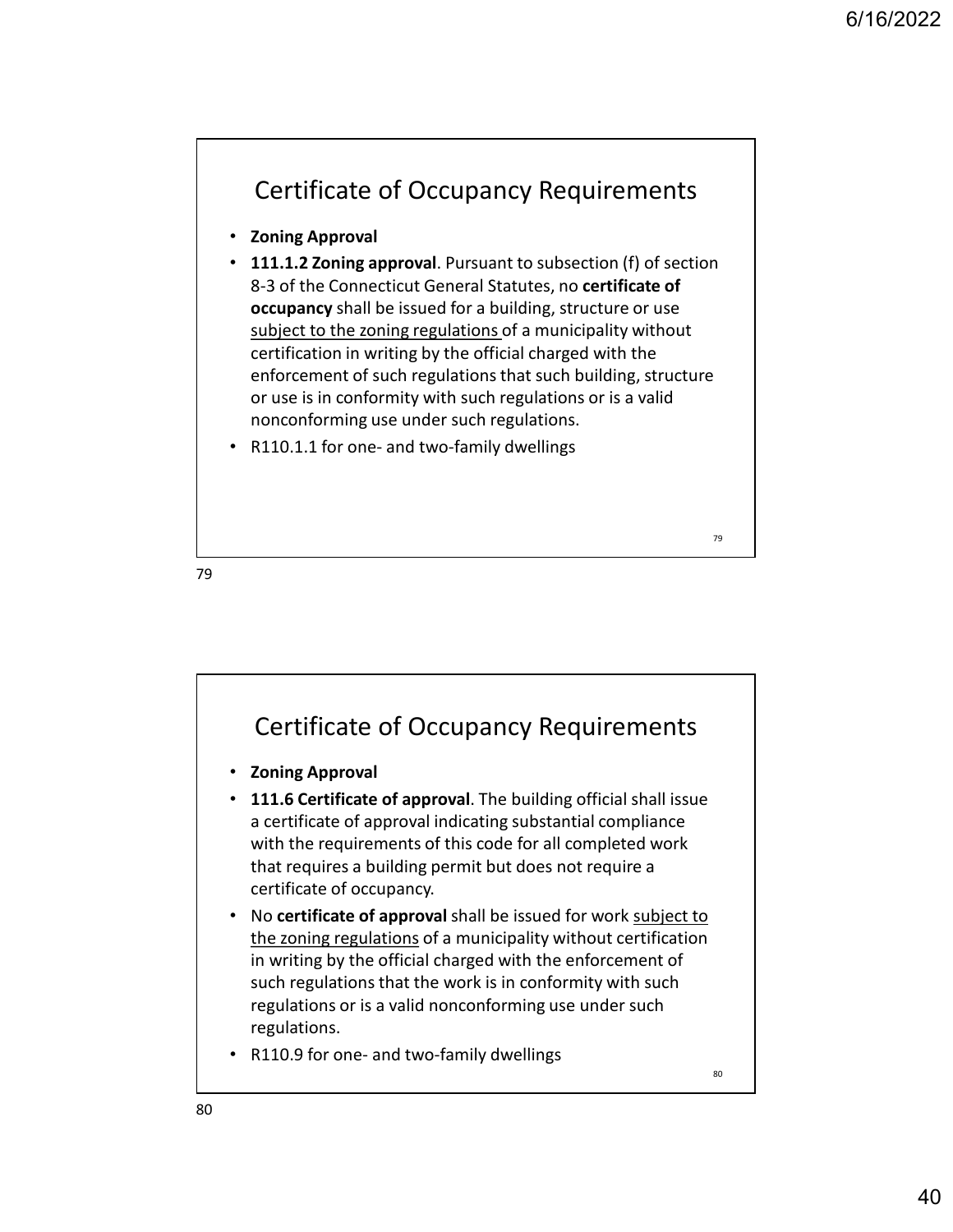

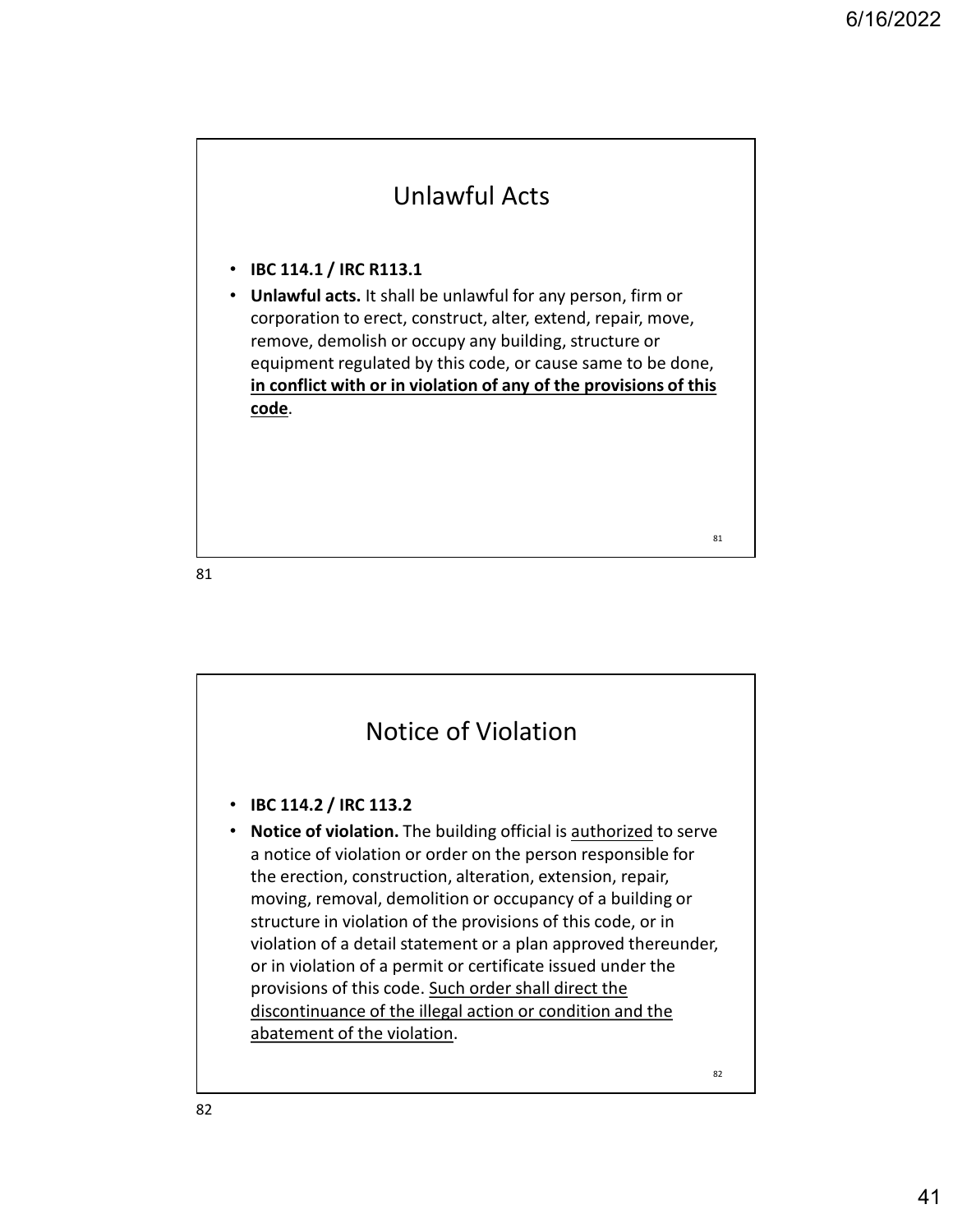### Unlawful Acts

• IBC 114.1 / IRC R113.1

• Unlawful acts. It shall be unlawful for any person, firm or corporation to erect, construct, alter, extend, repair, move, remove, demolish or occupy any building, structure or equipment regulated by this code, or cause same to be done, in conflict with or in violation of any of the provisions of this code.

81



82 and the contract of the contract of the contract of the contract of the contract of the contract of the contract of the contract of the contract of the contract of the contract of the contract of the contract of the con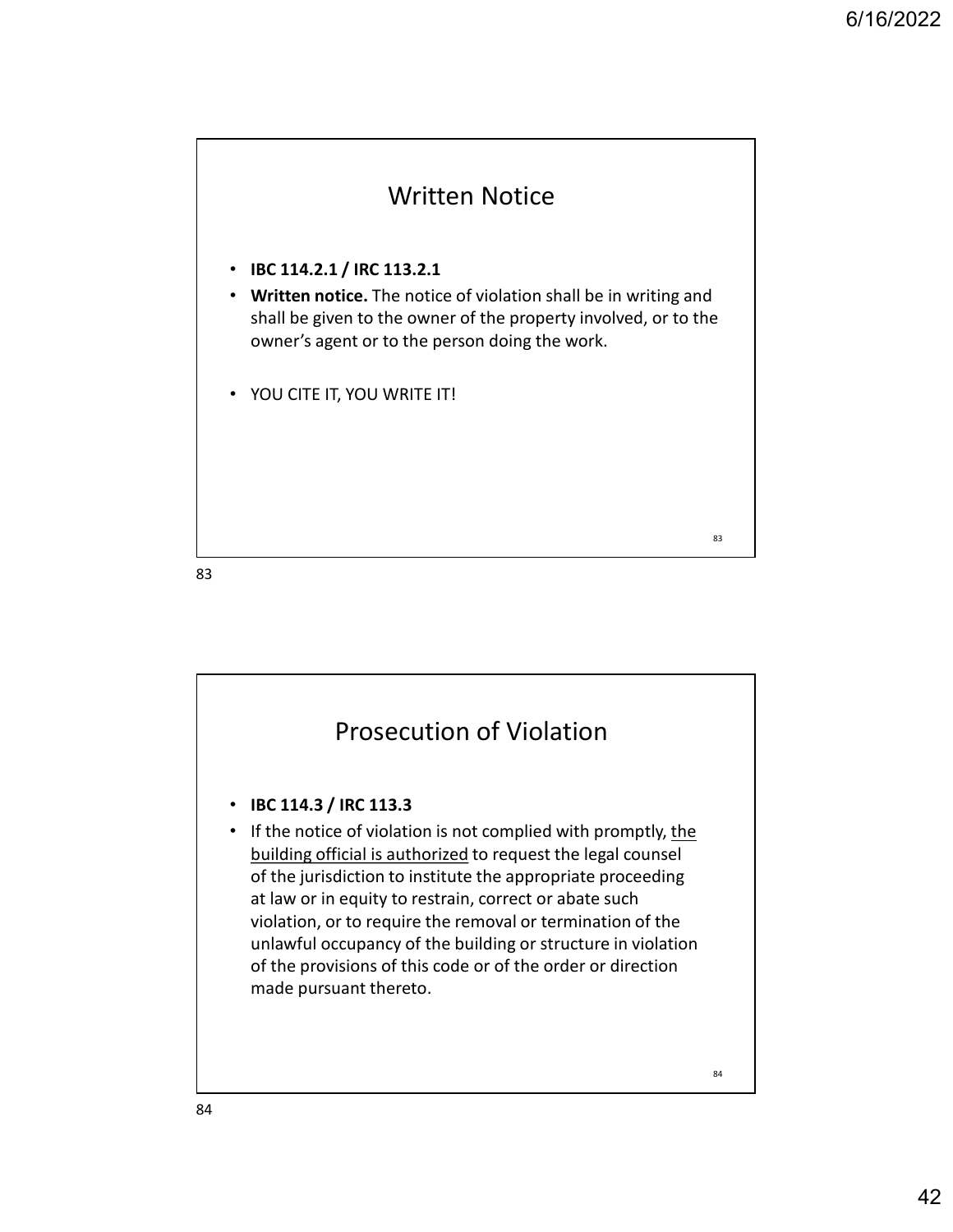

• IBC 114.2.1 / IRC 113.2.1

• Written notice. The notice of violation shall be in writing and shall be given to the owner of the property involved, or to the owner's agent or to the person doing the work.

• YOU CITE IT, YOU WRITE IT!

83 and the set of the set of the set of the set of the set of the set of the set of the set of the set of the

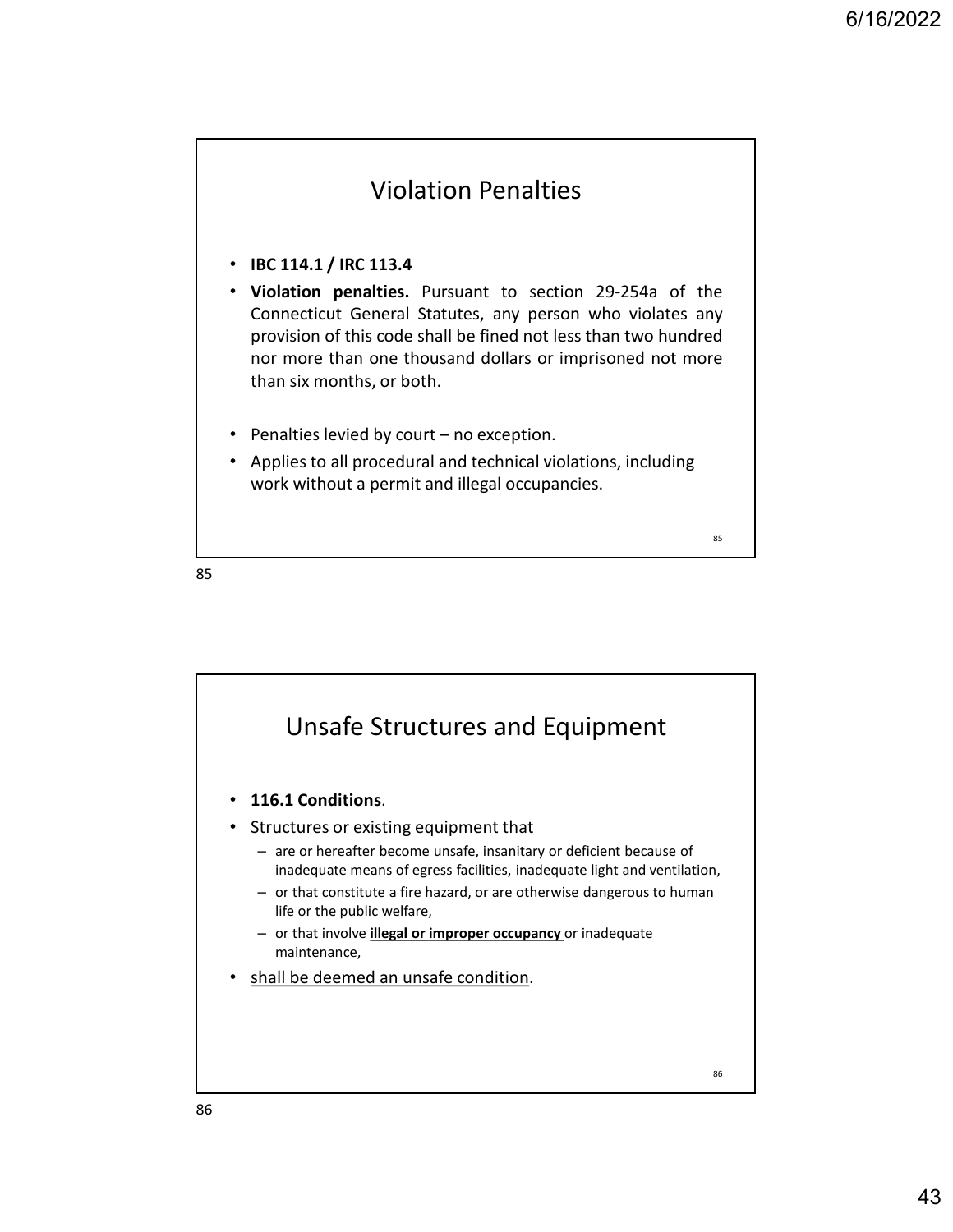#### Violation Penalties

- IBC 114.1 / IRC 113.4
- 6/16/2022<br>• IBC 114.1 / IRC 113.4<br>• Violation penalties. Pursuant to section 29-254a of the<br>Connecticut General Statutes, any person who violates any<br>provision of this code shall be fined not less than two hundred<br>nor more 6/16/2022<br>
Connecticut General Statutes, any person who violates any<br>
Connecticut General Statutes, any person who violates any<br>
provision of this code shall be fined not less than two hundred<br>
nor more than one thousand d 6/16/2022<br> **DREC 114.1 / IRC 113.4**<br> **IBC 114.1 / IRC 113.4**<br> **Violation penalties.** Pursuant to section 29-254a of the<br>
Connecticut General Statutes, any person who violates any<br>
provision of this code shall be fined not 6/16/2022<br> **Norman one than one than one than one than one than one than one than one than one than one than one thousand dollars or imprisoned not more<br>
provision of this code shall be fined not less than two hundred<br>
nor EXECUTE:** • **• FRECONTERT:** • **• FRECONTERT:** • **• FRECONTERT: FRECONTERT: FRECONTERT: FRECONTERT: FRECONTERT: FRECONTERT: FRECONTERT: FRECONTERT: FRECONTERT: FRECONTERT: FRECONTERT: FRECONTER**
- 
- work without a permit and illegal occupancies.

85 and the contract of the contract of the contract of the contract of the contract of the contract of the contract of the contract of the contract of the contract of the contract of the contract of the contract of the con

85 and the state of the state of the state of the state of the state of the state of the state of the state of

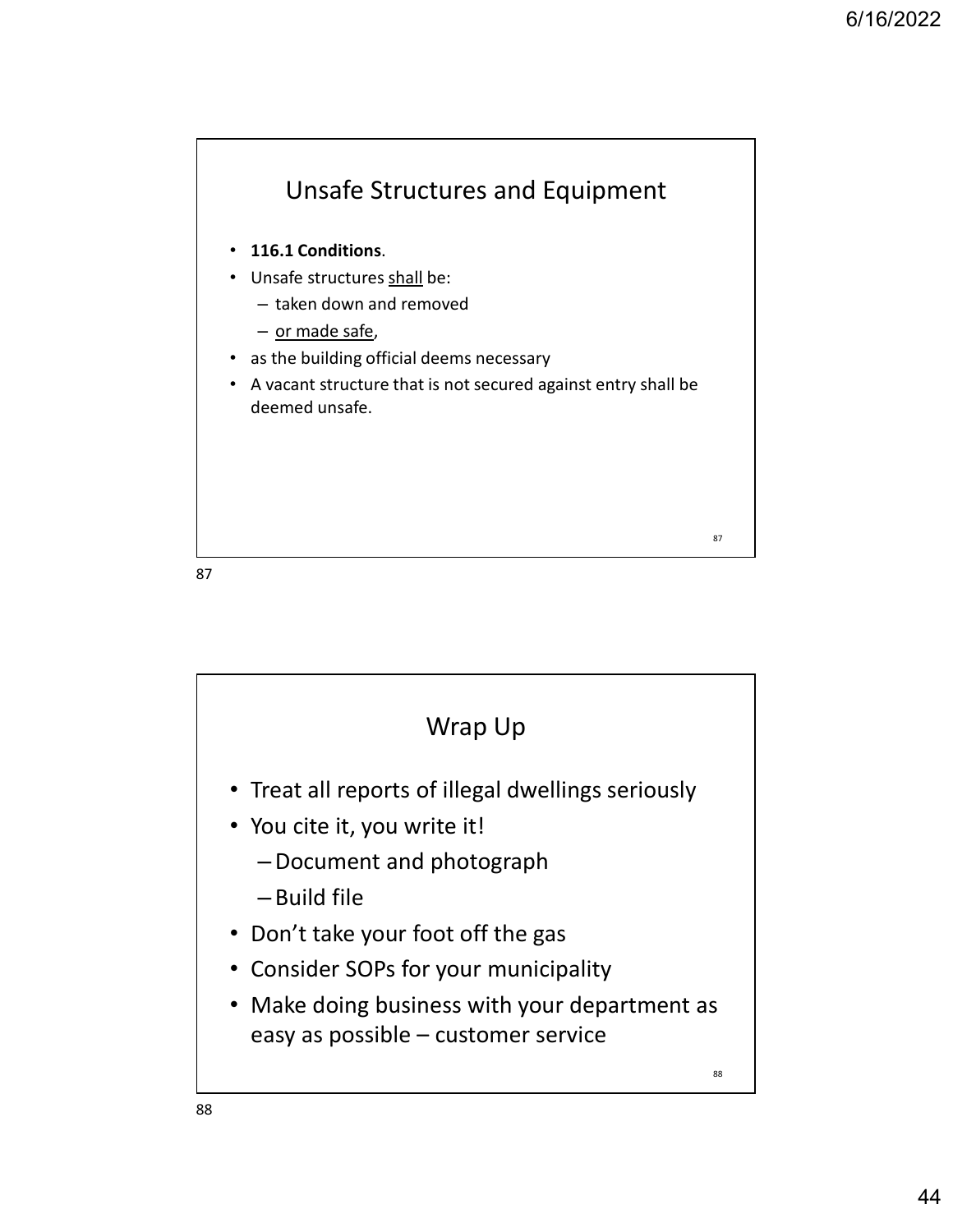

87 and the set of the set of the set of the set of the set of the set of the set of the set of the set of the